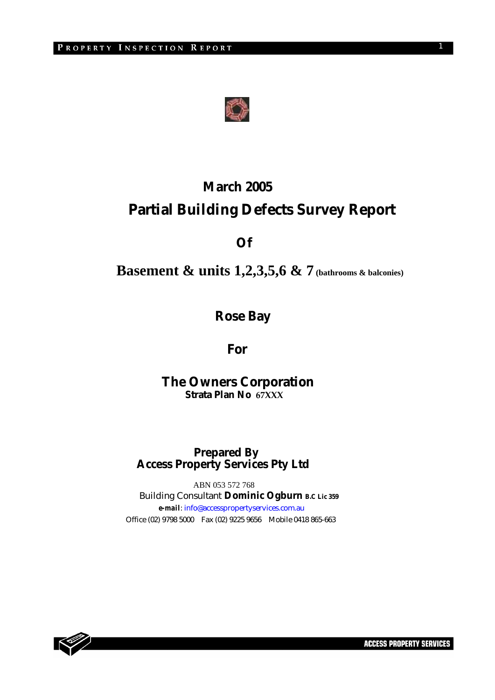

# **March 2005 Partial Building Defects Survey Report**

 **Of** 

**Basement & units 1,2,3,5,6 & 7 (bathrooms & balconies)** 

 **Rose Bay** 

 **For** 

 **The Owners Corporation Strata Plan No 67XXX**

 **Prepared By Access Property Services Pty Ltd** 

 ABN 053 572 768 Building Consultant **Dominic Ogburn B.C Lic 359**  *e-mail*: info@accesspropertyservices.com.au Office (02) 9798 5000 Fax (02) 9225 9656 Mobile 0418 865-663

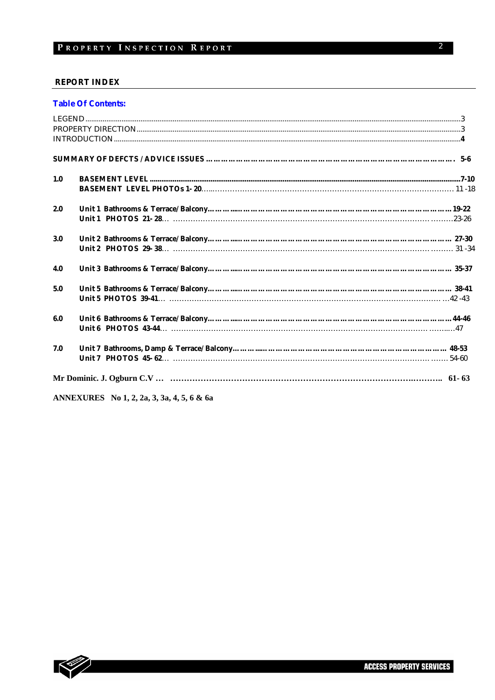#### **REPORT INDEX**

|  |  |  | <b>Table Of Contents:</b> |
|--|--|--|---------------------------|
|--|--|--|---------------------------|

| 1.0 |  |
|-----|--|
|     |  |
| 2.0 |  |
|     |  |
| 3.0 |  |
|     |  |
| 4.0 |  |
| 5.0 |  |
|     |  |
| 6.0 |  |
|     |  |
| 7.0 |  |
|     |  |
|     |  |
|     |  |

ANNEXURES No 1, 2, 2a, 3, 3a, 4, 5, 6 & 6a

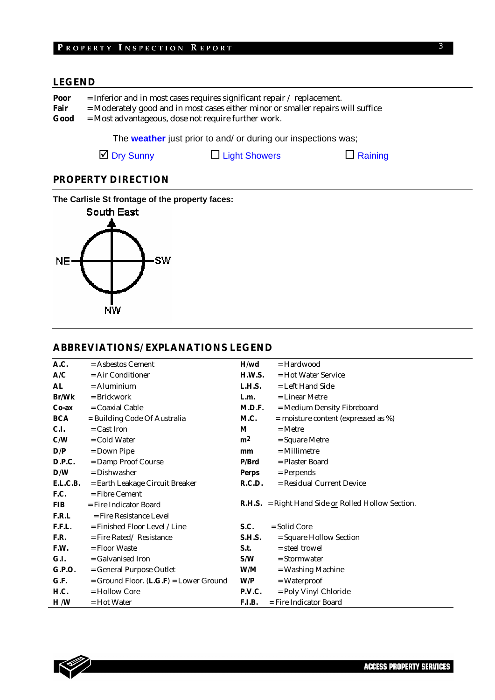# **LEGEND**

| Poor | $=$ Inferior and in most cases requires significant repair / replacement.        |
|------|----------------------------------------------------------------------------------|
| Fair | = Moderately good and in most cases either minor or smaller repairs will suffice |
| Good | $=$ Most advantageous, dose not require further work.                            |

The **weather** just prior to and/ or during our inspections was;

 $\Box$  Dry Sunny  $\Box$  Light Showers  $\Box$  Raining

# **PROPERTY DIRECTION**

**The Carlisle St frontage of the property faces:** 



### **ABBREVIATIONS/ EXPLANATIONS LEGEND**

| A.C.          | $=$ Asbestos Cement                    | H/wd           | $=$ Hardwood                                                |
|---------------|----------------------------------------|----------------|-------------------------------------------------------------|
| A/C           | $=$ Air Conditioner                    | H.W.S.         | $=$ Hot Water Service                                       |
| AL            | $=$ Aluminium                          | L.H.S.         | = Left Hand Side                                            |
| Br/Wk         | = Brickwork                            | L.m.           | = Linear Metre                                              |
| $Co-ax$       | = Coaxial Cable                        | M.D.F.         | = Medium Density Fibreboard                                 |
| <b>BCA</b>    | = Building Code Of Australia           | M.C.           | $=$ moisture content (expressed as %)                       |
| C.I.          | $=$ Cast Iron                          | M              | $=$ Metre                                                   |
| C/W           | = Cold Water                           | m <sup>2</sup> | = Square Metre                                              |
| D/P           | $=$ Down Pipe                          | mm             | $=$ Millimetre                                              |
| <b>D.P.C.</b> | = Damp Proof Course                    | P/Brd          | = Plaster Board                                             |
| D/W           | = Dishwasher                           | <b>Perps</b>   | = Perpends                                                  |
| E.L.C.B.      | = Earth Leakage Circuit Breaker        | R.C.D.         | = Residual Current Device                                   |
| F.C.          | $=$ Fibre Cement                       |                |                                                             |
| <b>FIB</b>    | $=$ Fire Indicator Board               |                | <b>R.H.S.</b> = Right Hand Side $or$ Rolled Hollow Section. |
| F.R.L         | = Fire Resistance Level                |                |                                                             |
| F.F.L.        | = Finished Floor Level / Line          | S.C.           | $=$ Solid Core                                              |
| F.R.          | $=$ Fire Rated/Resistance              | <b>S.H.S.</b>  | = Square Hollow Section                                     |
| F.W.          | $=$ Floor Waste                        | S.t.           | = steel trowel                                              |
| G.I.          | = Galvanised Iron                      | S/W            | $=$ Stormwater                                              |
| G.P.O.        | = General Purpose Outlet               | W/M            | = Washing Machine                                           |
| G.F.          | = Ground Floor. (L.G.F) = Lower Ground | W/P            | $= Waterproof$                                              |
| H.C.          | = Hollow Core                          | P.V.C.         | = Poly Vinyl Chloride                                       |
| H/W           | = Hot Water                            | F.I.B.         | = Fire Indicator Board                                      |

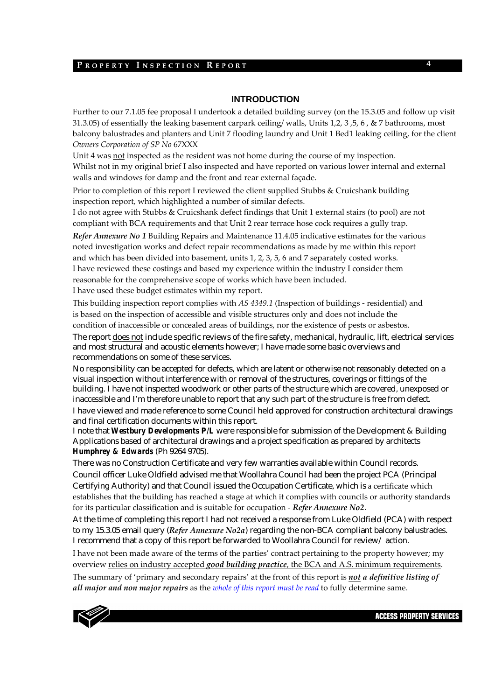### **INTRODUCTION**

Further to our 7.1.05 fee proposal I undertook a detailed building survey (on the 15.3.05 and follow up visit 31.3.05) of essentially the leaking basement carpark ceiling/ walls, Units 1,2, 3 ,5, 6 , & 7 bathrooms, most balcony balustrades and planters and Unit 7 flooding laundry and Unit 1 Bed1 leaking ceiling, for the client *Owners Corporation of SP No* 67XXX

Unit 4 was not inspected as the resident was not home during the course of my inspection. Whilst not in my original brief I also inspected and have reported on various lower internal and external walls and windows for damp and the front and rear external façade.

Prior to completion of this report I reviewed the client supplied Stubbs & Cruicshank building inspection report, which highlighted a number of similar defects.

I do not agree with Stubbs & Cruicshank defect findings that Unit 1 external stairs (to pool) are not compliant with BCA requirements and that Unit 2 rear terrace hose cock requires a gully trap.

*Refer Annexure No 1* Building Repairs and Maintenance 11.4.05 indicative estimates for the various noted investigation works and defect repair recommendations as made by me within this report and which has been divided into basement, units 1, 2, 3, 5, 6 and 7 separately costed works. I have reviewed these costings and based my experience within the industry I consider them reasonable for the comprehensive scope of works which have been included. I have used these budget estimates within my report.

This building inspection report complies with *AS 4349.1* (Inspection of buildings ‐ residential) and is based on the inspection of accessible and visible structures only and does not include the condition of inaccessible or concealed areas of buildings, nor the existence of pests or asbestos. The report does not include specific reviews of the fire safety, mechanical, hydraulic, lift, electrical services and most structural and acoustic elements however; I have made some basic overviews and recommendations on some of these services.

No responsibility can be accepted for defects, which are latent or otherwise not reasonably detected on a visual inspection without interference with or removal of the structures, coverings or fittings of the building. I have not inspected woodwork or other parts of the structure which are covered, unexposed or inaccessible and I'm therefore unable to report that any such part of the structure is free from defect. I have viewed and made reference to some Council held approved for construction architectural drawings and final certification documents within this report.

I note that *Westbury Developments P/L* were responsible for submission of the Development & Building Applications based of architectural drawings and a project specification as prepared by architects *Humphrey & Edwards* (Ph 9264 9705).

There was no Construction Certificate and very few warranties available within Council records. Council officer Luke Oldfield advised me that Woollahra Council had been the project PCA (Principal Certifying Authority) and that Council issued the Occupation Certificate, which is a certificate which establishes that the building has reached a stage at which it complies with councils or authority standards for its particular classification and is suitable for occupation ‐ *Refer Annexure No2*.

At the time of completing this report I had not received a response from Luke Oldfield (PCA) with respect to my 15.3.05 email query (*Refer Annexure No2a*) regarding the non-BCA compliant balcony balustrades. I recommend that a copy of this report be forwarded to Woollahra Council for review/ action.

I have not been made aware of the terms of the parties' contract pertaining to the property however; my overview relies on industry accepted *good building practice*, the BCA and A.S. minimum requirements.

The summary of 'primary and secondary repairs' at the front of this report is *not a definitive listing of all major and non major repairs* as the *whole of this report must be read* to fully determine same.



**ACCESS PROPERTY SERVICES**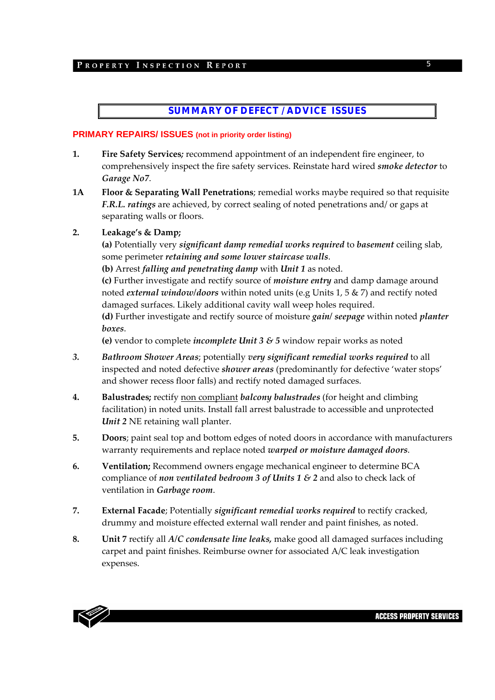# **SUMMARY OF DEFECT / ADVICE ISSUES**

### **PRIMARY REPAIRS/ ISSUES (not in priority order listing)**

- **1. Fire Safety Services***;* recommend appointment of an independent fire engineer, to comprehensively inspect the fire safety services. Reinstate hard wired *smoke detector* to *Garage No7*.
- **1A Floor & Separating Wall Penetrations**; remedial works maybe required so that requisite *F.R.L. ratings* are achieved, by correct sealing of noted penetrations and/ or gaps at separating walls or floors.

### **2. Leakage's & Damp;**

**(a)** Potentially very *significant damp remedial works required* to *basement* ceiling slab, some perimeter *retaining and some lower staircase walls*.

**(b)** Arrest *falling and penetrating damp* with *Unit 1* as noted.

**(c)** Further investigate and rectify source of *moisture entry* and damp damage around noted *external window/doors* within noted units (e.g Units 1, 5 & 7) and rectify noted damaged surfaces. Likely additional cavity wall weep holes required.

**(d)** Further investigate and rectify source of moisture *gain/ seepage* within noted *planter boxes*.

**(e)** vendor to complete *incomplete Unit 3 & 5* window repair works as noted

- *3. Bathroom Shower Areas*; potentially *very significant remedial works required* to all inspected and noted defective *shower areas* (predominantly for defective 'water stops' and shower recess floor falls) and rectify noted damaged surfaces.
- **4. Balustrades;** rectify non compliant *balcony balustrades* (for height and climbing facilitation) in noted units. Install fall arrest balustrade to accessible and unprotected *Unit 2* NE retaining wall planter.
- **5. Doors**; paint seal top and bottom edges of noted doors in accordance with manufacturers warranty requirements and replace noted *warped or moisture damaged doors*.
- **6. Ventilation;** Recommend owners engage mechanical engineer to determine BCA compliance of *non ventilated bedroom 3 of Units 1 & 2* and also to check lack of ventilation in *Garbage room*.
- **7. External Facade**; Potentially *significant remedial works required* to rectify cracked, drummy and moisture effected external wall render and paint finishes, as noted.
- **8. Unit 7** rectify all *A/C condensate line leaks,* make good all damaged surfaces including carpet and paint finishes. Reimburse owner for associated A/C leak investigation expenses.

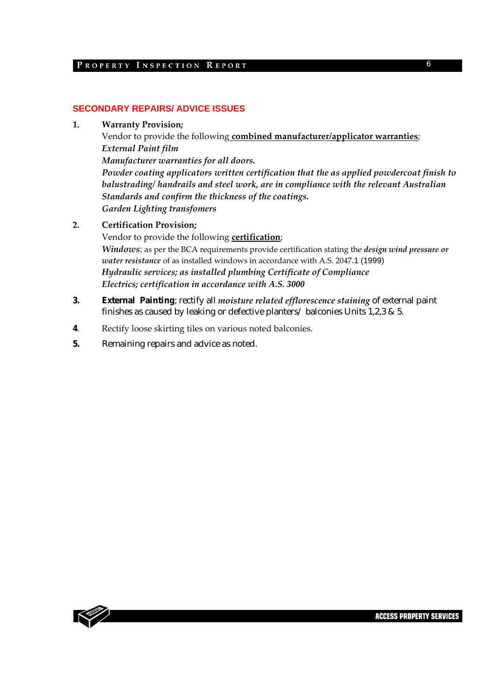### **SECONDARY REPAIRS/ ADVICE ISSUES**

**1. Warranty Provision;**

Vendor to provide the following **combined manufacturer/applicator warranties**; *External Paint film Manufacturer warranties for all doors. Powder coating applicators written certification that the as applied powdercoat finish to balustrading/ handrails and steel work, are in compliance with the relevant Australian Standards and confirm the thickness of the coatings. Garden Lighting transfomers*

### **2. Certification Provision;**

Vendor to provide the following **certification**;

*Windows*; as per the BCA requirements provide certification stating the *design wind pressure or water resistance* of as installed windows in accordance with A.S. 2047.1 (1999) *Hydraulic services; as installed plumbing Certificate of Compliance Electrics; certification in accordance with A.S. 3000*

- **3. External Painting**; rectify all *moisture related efflorescence staining* of external paint finishes as caused by leaking or defective planters/ balconies Units 1,2,3 & 5.
- **4**. Rectify loose skirting tiles on various noted balconies.
- **5.** Remaining repairs and advice as noted.

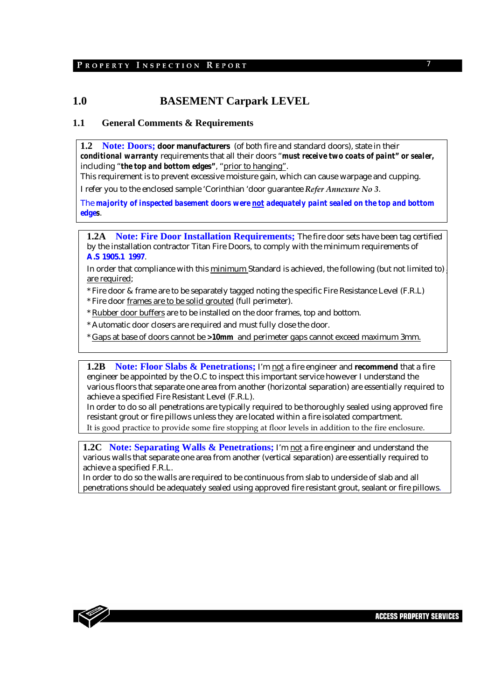# **1.0 BASEMENT Carpark LEVEL**

### **1.1 General Comments & Requirements**

**1.2 Note: Doors; door manufacturers** (of both fire and standard doors), state in their *conditional warranty* requirements that all their doors "*must receive two coats of paint" or sealer,* including "*the top and bottom edges"*, "prior to hanging".

This requirement is to prevent excessive moisture gain, which can cause warpage and cupping. I refer you to the enclosed sample 'Corinthian 'door guarantee *Refer Annexure No 3*.

The *majority of inspected basement doors were not adequately paint sealed on the top and bottom edges*.

**1.2A Note: Fire Door Installation Requirements;** The fire door sets have been tag certified by the installation contractor Titan Fire Doors, to comply with the minimum requirements of **A.S 1905.1 1997**.

In order that compliance with this minimum Standard is achieved, the following (but not limited to) are required;

\* Fire door & frame are to be separately tagged noting the specific Fire Resistance Level (F.R.L)

\* Fire door frames are to be solid grouted (full perimeter).

\* Rubber door buffers are to be installed on the door frames, top and bottom.

\* Automatic door closers are required and must fully close the door.

\* Gaps at base of doors cannot be *>10mm* and perimeter gaps cannot exceed maximum 3mm.

**1.2B** Note: Floor Slabs & Penetrations; I'm not a fire engineer and recommend that a fire engineer be appointed by the O.C to inspect this important service however I understand the various floors that separate one area from another (horizontal separation) are essentially required to achieve a specified Fire Resistant Level (F.R.L).

In order to do so all penetrations are typically required to be thoroughly sealed using approved fire resistant grout or fire pillows unless they are located within a fire isolated compartment. It is good practice to provide some fire stopping at floor levels in addition to the fire enclosure.

**1.2C** Note: Separating Walls & Penetrations; I'm not a fire engineer and understand the various walls that separate one area from another (vertical separation) are essentially required to achieve a specified F.R.L.

In order to do so the walls are required to be continuous from slab to underside of slab and all penetrations should be adequately sealed using approved fire resistant grout, sealant or fire pillows.

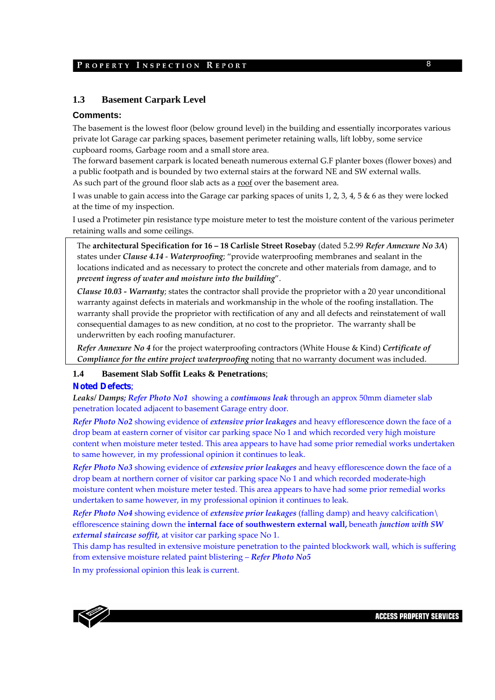### **1.3 Basement Carpark Level**

### **Comments:**

The basement is the lowest floor (below ground level) in the building and essentially incorporates various private lot Garage car parking spaces, basement perimeter retaining walls, lift lobby, some service cupboard rooms, Garbage room and a small store area.

The forward basement carpark is located beneath numerous external G.F planter boxes (flower boxes) and a public footpath and is bounded by two external stairs at the forward NE and SW external walls. As such part of the ground floor slab acts as a roof over the basement area.

I was unable to gain access into the Garage car parking spaces of units 1, 2, 3, 4, 5 & 6 as they were locked at the time of my inspection.

I used a Protimeter pin resistance type moisture meter to test the moisture content of the various perimeter retaining walls and some ceilings.

The **architectural Specification for 16 – 18 Carlisle Street Rosebay** (dated 5.2.99 *Refer Annexure No 3A*) states under *Clause 4.14* ‐ *Waterproofing*; "provide waterproofing membranes and sealant in the locations indicated and as necessary to protect the concrete and other materials from damage, and to *prevent ingress of water and moisture into the building*".

*Clause 10.03 ‐ Warranty*; states the contractor shall provide the proprietor with a 20 year unconditional warranty against defects in materials and workmanship in the whole of the roofing installation. The warranty shall provide the proprietor with rectification of any and all defects and reinstatement of wall consequential damages to as new condition, at no cost to the proprietor. The warranty shall be underwritten by each roofing manufacturer.

*Refer Annexure No 4* for the project waterproofing contractors (White House & Kind) *Certificate of Compliance for the entire project waterproofing* noting that no warranty document was included.

#### **1.4 Basement Slab Soffit Leaks & Penetrations**;

#### **Noted Defects**;

*Leaks/ Damps; Refer Photo No1* showing a *continuous leak* through an approx 50mm diameter slab penetration located adjacent to basement Garage entry door.

*Refer Photo No2* showing evidence of *extensive prior leakages* and heavy efflorescence down the face of a drop beam at eastern corner of visitor car parking space No 1 and which recorded very high moisture content when moisture meter tested. This area appears to have had some prior remedial works undertaken to same however, in my professional opinion it continues to leak.

*Refer Photo No3* showing evidence of *extensive prior leakages* and heavy efflorescence down the face of a drop beam at northern corner of visitor car parking space No 1 and which recorded moderate-high moisture content when moisture meter tested. This area appears to have had some prior remedial works undertaken to same however, in my professional opinion it continues to leak.

*Refer Photo No4* showing evidence of *extensive prior leakages* (falling damp) and heavy calcification\ efflorescence staining down the **internal face of southwestern external wall,** beneath *junction with SW external staircase soffit,* at visitor car parking space No 1.

This damp has resulted in extensive moisture penetration to the painted blockwork wall, which is suffering from extensive moisture related paint blistering – *Refer Photo No5*

In my professional opinion this leak is current.

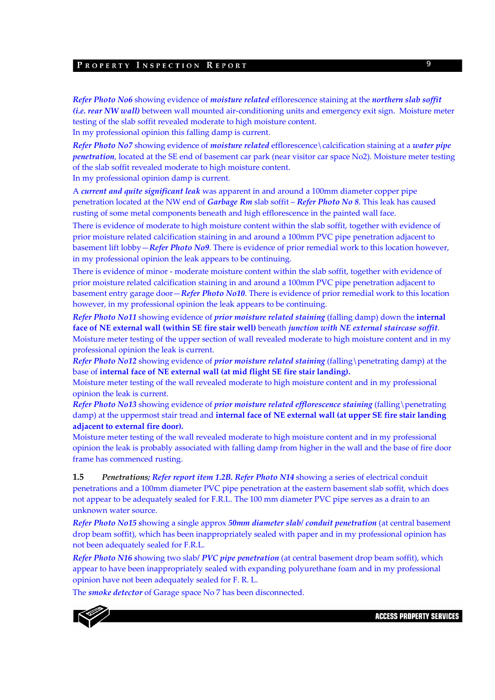*Refer Photo No6* showing evidence of *moisture related* efflorescence staining at the *northern slab soffit (i.e. rear NW wall)* between wall mounted air‐conditioning units and emergency exit sign. Moisture meter testing of the slab soffit revealed moderate to high moisture content. In my professional opinion this falling damp is current.

*Refer Photo No7* showing evidence of *moisture related* efflorescence\calcification staining at a *water pipe penetration*, located at the SE end of basement car park (near visitor car space No2). Moisture meter testing of the slab soffit revealed moderate to high moisture content.

In my professional opinion damp is current.

A *current and quite significant leak* was apparent in and around a 100mm diameter copper pipe penetration located at the NW end of *Garbage Rm* slab soffit – *Refer Photo No 8*. This leak has caused rusting of some metal components beneath and high efflorescence in the painted wall face.

There is evidence of moderate to high moisture content within the slab soffit, together with evidence of prior moisture related calcification staining in and around a 100mm PVC pipe penetration adjacent to basement lift lobby—*Refer Photo No9*. There is evidence of prior remedial work to this location however, in my professional opinion the leak appears to be continuing.

There is evidence of minor - moderate moisture content within the slab soffit, together with evidence of prior moisture related calcification staining in and around a 100mm PVC pipe penetration adjacent to basement entry garage door—*Refer Photo No10*. There is evidence of prior remedial work to this location however, in my professional opinion the leak appears to be continuing.

*Refer Photo No11* showing evidence of *prior moisture related staining* (falling damp) down the **internal face of NE external wall (within SE fire stair well)** beneath *junction with NE external staircase soffit*. Moisture meter testing of the upper section of wall revealed moderate to high moisture content and in my professional opinion the leak is current.

*Refer Photo No12* showing evidence of *prior moisture related staining* (falling\penetrating damp) at the base of **internal face of NE external wall (at mid flight SE fire stair landing).**

Moisture meter testing of the wall revealed moderate to high moisture content and in my professional opinion the leak is current.

*Refer Photo No13* showing evidence of *prior moisture related efflorescence staining* (falling\penetrating damp) at the uppermost stair tread and **internal face of NE external wall (at upper SE fire stair landing adjacent to external fire door).**

Moisture meter testing of the wall revealed moderate to high moisture content and in my professional opinion the leak is probably associated with falling damp from higher in the wall and the base of fire door frame has commenced rusting.

**1.5** *Penetrations; Refer report item 1.2B. Refer Photo N14* showing a series of electrical conduit penetrations and a 100mm diameter PVC pipe penetration at the eastern basement slab soffit, which does not appear to be adequately sealed for F.R.L. The 100 mm diameter PVC pipe serves as a drain to an unknown water source.

*Refer Photo No15 s*howing a single approx *50mm diameter slab/ conduit penetration* (at central basement drop beam soffit), which has been inappropriately sealed with paper and in my professional opinion has not been adequately sealed for F.R.L.

*Refer Photo N16 s*howing two slab*/ PVC pipe penetration* (at central basement drop beam soffit), which appear to have been inappropriately sealed with expanding polyurethane foam and in my professional opinion have not been adequately sealed for F. R. L.

The *smoke detector* of Garage space No 7 has been disconnected.

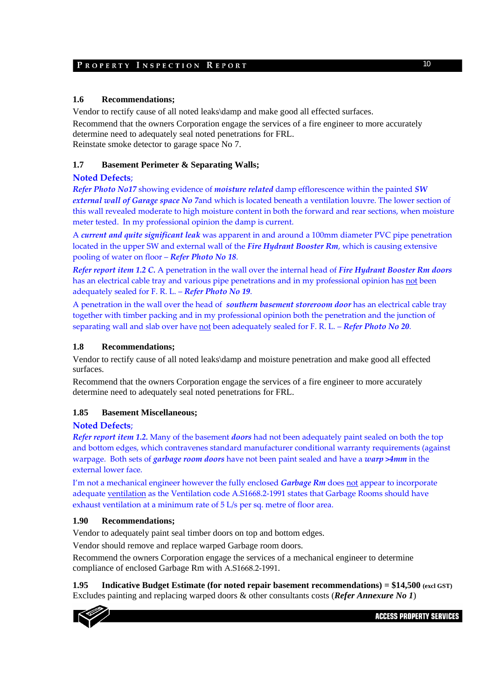### **1.6 Recommendations;**

Vendor to rectify cause of all noted leaks\damp and make good all effected surfaces. Recommend that the owners Corporation engage the services of a fire engineer to more accurately determine need to adequately seal noted penetrations for FRL. Reinstate smoke detector to garage space No 7.

### **1.7 Basement Perimeter & Separating Walls;**

### **Noted Defects**;

*Refer Photo No17* showing evidence of *moisture related* damp efflorescence within the painted *SW external wall of Garage space No 7*and which is located beneath a ventilation louvre. The lower section of this wall revealed moderate to high moisture content in both the forward and rear sections, when moisture meter tested. In my professional opinion the damp is current.

A *current and quite significant leak* was apparent in and around a 100mm diameter PVC pipe penetration located in the upper SW and external wall of the *Fire Hydrant Booster Rm*, which is causing extensive pooling of water on floor – *Refer Photo No 18*.

*Refer report item 1.2 C.* A penetration in the wall over the internal head of *Fire Hydrant Booster Rm doors* has an electrical cable tray and various pipe penetrations and in my professional opinion has not been adequately sealed for F. R. L. – *Refer Photo No 19*.

A penetration in the wall over the head of *southern basement storeroom door* has an electrical cable tray together with timber packing and in my professional opinion both the penetration and the junction of separating wall and slab over have not been adequately sealed for F. R. L. – *Refer Photo No 20*.

### **1.8 Recommendations;**

Vendor to rectify cause of all noted leaks\damp and moisture penetration and make good all effected surfaces.

Recommend that the owners Corporation engage the services of a fire engineer to more accurately determine need to adequately seal noted penetrations for FRL.

### **1.85 Basement Miscellaneous;**

### **Noted Defects**;

*Refer report item 1.2.* Many of the basement *doors* had not been adequately paint sealed on both the top and bottom edges, which contravenes standard manufacturer conditional warranty requirements (against warpage. Both sets of *garbage room doors* have not been paint sealed and have a *warp >4mm* in the external lower face.

I'm not a mechanical engineer however the fully enclosed *Garbage Rm* does not appear to incorporate adequate ventilation as the Ventilation code A.S1668.2‐1991 states that Garbage Rooms should have exhaust ventilation at a minimum rate of 5 L/s per sq. metre of floor area.

### **1.90 Recommendations;**

Vendor to adequately paint seal timber doors on top and bottom edges.

Vendor should remove and replace warped Garbage room doors.

Recommend the owners Corporation engage the services of a mechanical engineer to determine compliance of enclosed Garbage Rm with A.S1668.2‐1991.

**1.95 Indicative Budget Estimate (for noted repair basement recommendations) = \$14,500 (excl GST)**  Excludes painting and replacing warped doors & other consultants costs (*Refer Annexure No 1*)

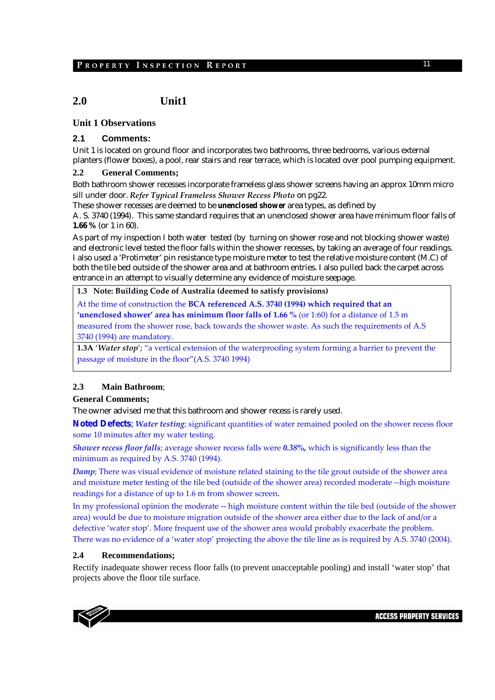# **2.0 Unit1**

### **Unit 1 Observations**

### **2.1 Comments:**

Unit 1 is located on ground floor and incorporates two bathrooms, three bedrooms, various external planters (flower boxes), a pool, rear stairs and rear terrace, which is located over pool pumping equipment.

### **2.2 General Comments;**

Both bathroom shower recesses incorporate frameless glass shower screens having an approx 10mm micro sill under door. *Refer Typical Frameless Shower Recess Photo* on pg22.

These shower recesses are deemed to be *unenclosed shower* area types, as defined by

A. S. 3740 (1994). This same standard requires that an unenclosed shower area have minimum floor falls of **1.66 %** (or 1 in 60).

As part of my inspection I both water tested (by turning on shower rose and not blocking shower waste) and electronic level tested the floor falls within the shower recesses, by taking an average of four readings. I also used a 'Protimeter' pin resistance type moisture meter to test the relative moisture content (M.C) of both the tile bed outside of the shower area and at bathroom entries. I also pulled back the carpet across entrance in an attempt to visually determine any evidence of moisture seepage.

### **1.3 Note: Building Code of Australia (deemed to satisfy provisions)**

At the time of construction the **BCA referenced A.S. 3740 (1994) which required that an 'unenclosed shower' area has minimum floor falls of 1.66 %** (or 1:60) for a distance of 1.5 m measured from the shower rose, back towards the shower waste. As such the requirements of A.S 3740 (1994) are mandatory.

**1.3A** '*Water stop*'; "a vertical extension of the waterproofing system forming a barrier to prevent the passage of moisture in the floor"(A.S. 3740 1994)

### **2.3 Main Bathroom**;

### **General Comments;**

The owner advised me that this bathroom and shower recess is rarely used.

**Noted Defects**; *Water testing*; significant quantities of water remained pooled on the shower recess floor some 10 minutes after my water testing.

*Shower recess floor falls*; average shower recess falls were *0.38%,* which is significantly less than the minimum as required by A.S. 3740 (1994).

*Damp*; There was visual evidence of moisture related staining to the tile grout outside of the shower area and moisture meter testing of the tile bed (outside of the shower area) recorded moderate ‐‐high moisture readings for a distance of up to 1.6 m from shower screen*.*

In my professional opinion the moderate -- high moisture content within the tile bed (outside of the shower area) would be due to moisture migration outside of the shower area either due to the lack of and/or a defective 'water stop'. More frequent use of the shower area would probably exacerbate the problem. There was no evidence of a 'water stop' projecting the above the tile line as is required by A.S. 3740 (2004).

### **2.4 Recommendations;**

Rectify inadequate shower recess floor falls (to prevent unacceptable pooling) and install 'water stop' that projects above the floor tile surface.

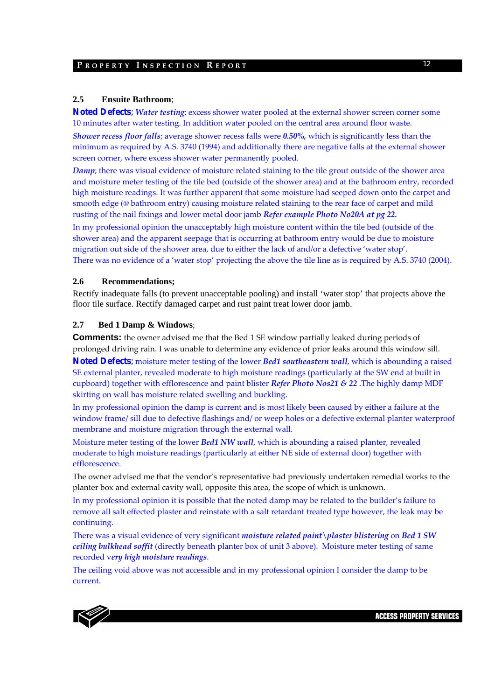#### **2.5 Ensuite Bathroom**;

**Noted Defects**; *Water testing*; excess shower water pooled at the external shower screen corner some 10 minutes after water testing. In addition water pooled on the central area around floor waste.

*Shower recess floor falls*; average shower recess falls were *0.50%,* which is significantly less than the minimum as required by A.S. 3740 (1994) and additionally there are negative falls at the external shower screen corner, where excess shower water permanently pooled.

*Damp*; there was visual evidence of moisture related staining to the tile grout outside of the shower area and moisture meter testing of the tile bed (outside of the shower area) and at the bathroom entry, recorded high moisture readings. It was further apparent that some moisture had seeped down onto the carpet and smooth edge (@ bathroom entry) causing moisture related staining to the rear face of carpet and mild rusting of the nail fixings and lower metal door jamb *Refer example Photo No20A at pg 22.*

In my professional opinion the unacceptably high moisture content within the tile bed (outside of the shower area) and the apparent seepage that is occurring at bathroom entry would be due to moisture migration out side of the shower area, due to either the lack of and/or a defective 'water stop'. There was no evidence of a 'water stop' projecting the above the tile line as is required by A.S. 3740 (2004).

#### **2.6 Recommendations;**

Rectify inadequate falls (to prevent unacceptable pooling) and install 'water stop' that projects above the floor tile surface. Rectify damaged carpet and rust paint treat lower door jamb.

### **2.7 Bed 1 Damp & Windows**;

**Comments:** the owner advised me that the Bed 1 SE window partially leaked during periods of prolonged driving rain. I was unable to determine any evidence of prior leaks around this window sill. **Noted Defects**; moisture meter testing of the lower *Bed1 southeastern wall*, which is abounding a raised SE external planter, revealed moderate to high moisture readings (particularly at the SW end at built in cupboard) together with efflorescence and paint blister *Refer Photo Nos21 & 22* .The highly damp MDF skirting on wall has moisture related swelling and buckling.

In my professional opinion the damp is current and is most likely been caused by either a failure at the window frame/ sill due to defective flashings and/ or weep holes or a defective external planter waterproof membrane and moisture migration through the external wall.

Moisture meter testing of the lower *Bed1 NW wall*, which is abounding a raised planter, revealed moderate to high moisture readings (particularly at either NE side of external door) together with efflorescence.

The owner advised me that the vendor's representative had previously undertaken remedial works to the planter box and external cavity wall, opposite this area, the scope of which is unknown.

In my professional opinion it is possible that the noted damp may be related to the builder's failure to remove all salt effected plaster and reinstate with a salt retardant treated type however, the leak may be continuing.

There was a visual evidence of very significant *moisture related paint\plaster blistering* on *Bed 1 SW ceiling bulkhead soffit* (directly beneath planter box of unit 3 above). Moisture meter testing of same recorded v*ery high moisture readings*.

The ceiling void above was not accessible and in my professional opinion I consider the damp to be current.

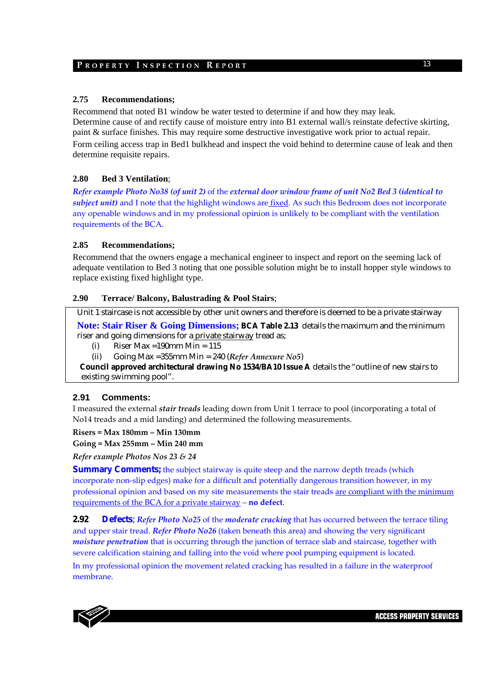### **2.75 Recommendations;**

Recommend that noted B1 window be water tested to determine if and how they may leak. Determine cause of and rectify cause of moisture entry into B1 external wall/s reinstate defective skirting, paint & surface finishes. This may require some destructive investigative work prior to actual repair. Form ceiling access trap in Bed1 bulkhead and inspect the void behind to determine cause of leak and then determine requisite repairs.

### **2.80 Bed 3 Ventilation**;

Refer example Photo No38 (of unit 2) of the external door window frame of unit No2 Bed 3 (identical to *subject unit)* and I note that the highlight windows are fixed. As such this Bedroom does not incorporate any openable windows and in my professional opinion is unlikely to be compliant with the ventilation requirements of the BCA.

### **2.85 Recommendations;**

Recommend that the owners engage a mechanical engineer to inspect and report on the seeming lack of adequate ventilation to Bed 3 noting that one possible solution might be to install hopper style windows to replace existing fixed highlight type.

### **2.90 Terrace/ Balcony, Balustrading & Pool Stairs**;

Unit 1 staircase is not accessible by other unit owners and therefore is deemed to be a private stairway **Note: Stair Riser & Going Dimensions; BCA Table 2.13** details the maximum and the minimum riser and going dimensions for a private stairway tread as;

(i) Riser Max =190mm Min =  $115$ 

(ii) Going Max =355mm Min = 240 (*Refer Annexure No5*)

 **Council approved architectural drawing No 1534/BA10 Issue A** details the "outline of new stairs to existing swimming pool".

### **2.91 Comments:**

I measured the external *stair treads* leading down from Unit 1 terrace to pool (incorporating a total of No14 treads and a mid landing) and determined the following measurements.

**Risers = Max 180mm – Min 130mm** 

**Going = Max 255mm – Min 240 mm**

*Refer example Photos Nos 23 & 24*

**Summary Comments;** the subject stairway is quite steep and the narrow depth treads (which incorporate non-slip edges) make for a difficult and potentially dangerous transition however, in my professional opinion and based on my site measurements the stair treads are compliant with the minimum requirements of the BCA for a private stairway – **no defect**.

**2.92 Defects**; *Refer Photo No25* of the *moderate cracking* that has occurred between the terrace tiling and upper stair tread. *Refer Photo No26* (taken beneath this area) and showing the very significant *moisture penetration* that is occurring through the junction of terrace slab and staircase, together with severe calcification staining and falling into the void where pool pumping equipment is located.

In my professional opinion the movement related cracking has resulted in a failure in the waterproof membrane.

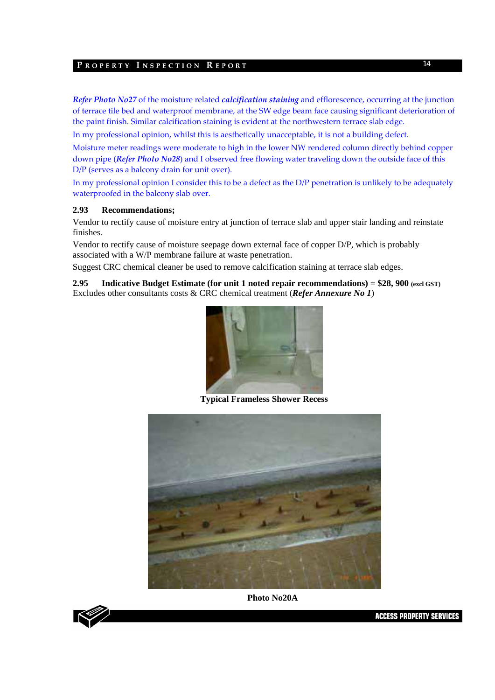*Refer Photo No27* of the moisture related *calcification staining* and efflorescence, occurring at the junction of terrace tile bed and waterproof membrane, at the SW edge beam face causing significant deterioration of the paint finish. Similar calcification staining is evident at the northwestern terrace slab edge.

In my professional opinion, whilst this is aesthetically unacceptable, it is not a building defect.

Moisture meter readings were moderate to high in the lower NW rendered column directly behind copper down pipe (*Refer Photo No28*) and I observed free flowing water traveling down the outside face of this D/P (serves as a balcony drain for unit over).

In my professional opinion I consider this to be a defect as the D/P penetration is unlikely to be adequately waterproofed in the balcony slab over.

### **2.93 Recommendations;**

Vendor to rectify cause of moisture entry at junction of terrace slab and upper stair landing and reinstate finishes.

Vendor to rectify cause of moisture seepage down external face of copper D/P, which is probably associated with a W/P membrane failure at waste penetration.

Suggest CRC chemical cleaner be used to remove calcification staining at terrace slab edges.

**2.95 Indicative Budget Estimate (for unit 1 noted repair recommendations) = \$28, 900 (excl GST)**  Excludes other consultants costs & CRC chemical treatment (*Refer Annexure No 1*)



 **Typical Frameless Shower Recess** 



**Photo No20A** 

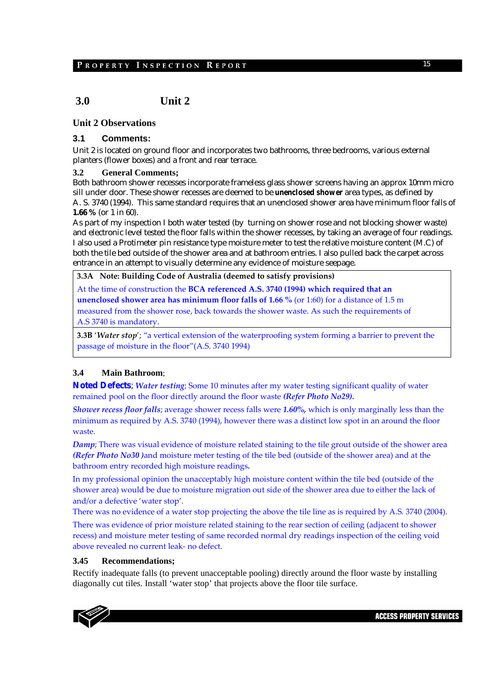# **3.0 Unit 2**

### **Unit 2 Observations**

### **3.1 Comments:**

Unit 2 is located on ground floor and incorporates two bathrooms, three bedrooms, various external planters (flower boxes) and a front and rear terrace.

#### **3.2 General Comments;**

Both bathroom shower recesses incorporate frameless glass shower screens having an approx 10mm micro sill under door. These shower recesses are deemed to be *unenclosed shower* area types, as defined by A. S. 3740 (1994). This same standard requires that an unenclosed shower area have minimum floor falls of **1.66 %** (or 1 in 60).

As part of my inspection I both water tested (by turning on shower rose and not blocking shower waste) and electronic level tested the floor falls within the shower recesses, by taking an average of four readings. I also used a Protimeter pin resistance type moisture meter to test the relative moisture content (M.C) of both the tile bed outside of the shower area and at bathroom entries. I also pulled back the carpet across entrance in an attempt to visually determine any evidence of moisture seepage.

#### **3.3A Note: Building Code of Australia (deemed to satisfy provisions)**

At the time of construction the **BCA referenced A.S. 3740 (1994) which required that an unenclosed shower area has minimum floor falls of 1.66 %** (or 1:60) for a distance of 1.5 m measured from the shower rose, back towards the shower waste. As such the requirements of A.S 3740 is mandatory.

**3.3B** '*Water stop*'; "a vertical extension of the waterproofing system forming a barrier to prevent the passage of moisture in the floor"(A.S. 3740 1994)

### **3.4 Main Bathroom**;

**Noted Defects**; *Water testing*; Some 10 minutes after my water testing significant quality of water remained pool on the floor directly around the floor waste *(Refer Photo No29).*

*Shower recess floor falls*; average shower recess falls were *1.60%,* which is only marginally less than the minimum as required by A.S. 3740 (1994), however there was a distinct low spot in an around the floor waste.

*Damp*; There was visual evidence of moisture related staining to the tile grout outside of the shower area *(Refer Photo No30 )*and moisture meter testing of the tile bed (outside of the shower area) and at the bathroom entry recorded high moisture readings*.*

In my professional opinion the unacceptably high moisture content within the tile bed (outside of the shower area) would be due to moisture migration out side of the shower area due to either the lack of and/or a defective 'water stop'.

There was no evidence of a water stop projecting the above the tile line as is required by A.S. 3740 (2004).

There was evidence of prior moisture related staining to the rear section of ceiling (adjacent to shower recess) and moisture meter testing of same recorded normal dry readings inspection of the ceiling void above revealed no current leak‐ no defect.

#### **3.45 Recommendations;**

Rectify inadequate falls (to prevent unacceptable pooling) directly around the floor waste by installing diagonally cut tiles. Install 'water stop' that projects above the floor tile surface.

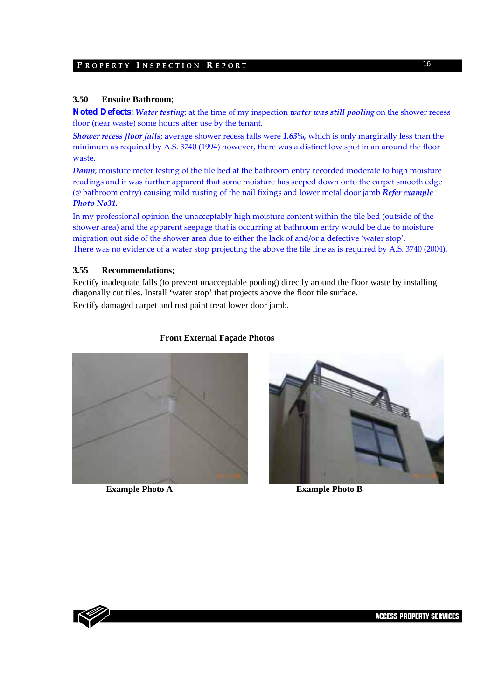### **3.50 Ensuite Bathroom**;

**Noted Defects**; *Water testing*; at the time of my inspection *water was still pooling* on the shower recess floor (near waste) some hours after use by the tenant.

*Shower recess floor falls*; average shower recess falls were *1.63%,* which is only marginally less than the minimum as required by A.S. 3740 (1994) however, there was a distinct low spot in an around the floor waste.

*Damp*; moisture meter testing of the tile bed at the bathroom entry recorded moderate to high moisture readings and it was further apparent that some moisture has seeped down onto the carpet smooth edge (@ bathroom entry) causing mild rusting of the nail fixings and lower metal door jamb *Refer example Photo No31.*

In my professional opinion the unacceptably high moisture content within the tile bed (outside of the shower area) and the apparent seepage that is occurring at bathroom entry would be due to moisture migration out side of the shower area due to either the lack of and/or a defective 'water stop'. There was no evidence of a water stop projecting the above the tile line as is required by A.S. 3740 (2004).

### **3.55 Recommendations;**

Rectify inadequate falls (to prevent unacceptable pooling) directly around the floor waste by installing diagonally cut tiles. Install 'water stop' that projects above the floor tile surface. Rectify damaged carpet and rust paint treat lower door jamb.

### **Front External Façade Photos**



**Example Photo A Example Photo B** 



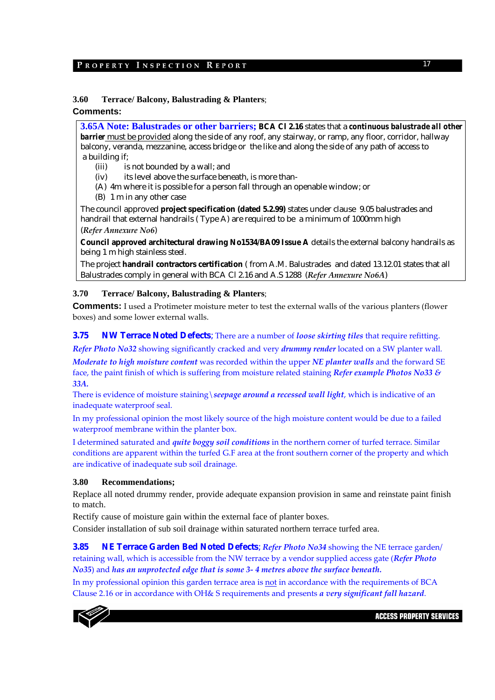### **3.60 Terrace/ Balcony, Balustrading & Planters**;

### **Comments:**

**3.65A Note: Balustrades or other barriers; BCA Cl 2.16** states that a *continuous balustrade all other barrier* must be provided along the side of any roof, any stairway, or ramp, any floor, corridor, hallway balcony, veranda, mezzanine, access bridge or the like and along the side of any path of access to a building if;

- (iii) is not bounded by a wall; and
- (iv) its level above the surface beneath, is more than-
- (A) 4m where it is possible for a person fall through an openable window; or
- (B) 1 m in any other case

The council approved **project specification (dated 5.2.99)** states under clause 9.05 balustrades and handrail that external handrails ( Type A) are required to be a minimum of 1000mm high (*Refer Annexure No6*)

**Council approved architectural drawing No1534/BA09 Issue A** details the external balcony handrails as being 1 m high stainless steel.

The project **handrail contractors certification** ( from A.M. Balustrades and dated 13.12.01 states that all Balustrades comply in general with BCA Cl 2.16 and A.S 1288 (*Refer Annexure No6A*)

#### **3.70 Terrace/ Balcony, Balustrading & Planters**;

**Comments:** I used a Protimeter moisture meter to test the external walls of the various planters (flower boxes) and some lower external walls.

### **3.75 NW Terrace Noted Defects**; There are a number of *loose skirting tiles* that require refitting.

*Refer Photo No32* showing significantly cracked and very *drummy render* located on a SW planter wall.

*Moderate to high moisture content* was recorded within the upper *NE planter walls* and the forward SE face, the paint finish of which is suffering from moisture related staining *Refer example Photos No33 & 33A.* 

There is evidence of moisture staining\*seepage around a recessed wall light*, which is indicative of an inadequate waterproof seal.

In my professional opinion the most likely source of the high moisture content would be due to a failed waterproof membrane within the planter box.

I determined saturated and *quite boggy soil conditions* in the northern corner of turfed terrace. Similar conditions are apparent within the turfed G.F area at the front southern corner of the property and which are indicative of inadequate sub soil drainage.

#### **3.80 Recommendations;**

Replace all noted drummy render, provide adequate expansion provision in same and reinstate paint finish to match.

Rectify cause of moisture gain within the external face of planter boxes.

Consider installation of sub soil drainage within saturated northern terrace turfed area.

**3.85 NE Terrace Garden Bed Noted Defects**; *Refer Photo No34* showing the NE terrace garden/ retaining wall, which is accessible from the NW terrace by a vendor supplied access gate (*Refer Photo No35*) and *has an unprotected edge that is some 3‐ 4 metres above the surface beneath.* 

In my professional opinion this garden terrace area is not in accordance with the requirements of BCA Clause 2.16 or in accordance with OH& S requirements and presents *a very significant fall hazard*.

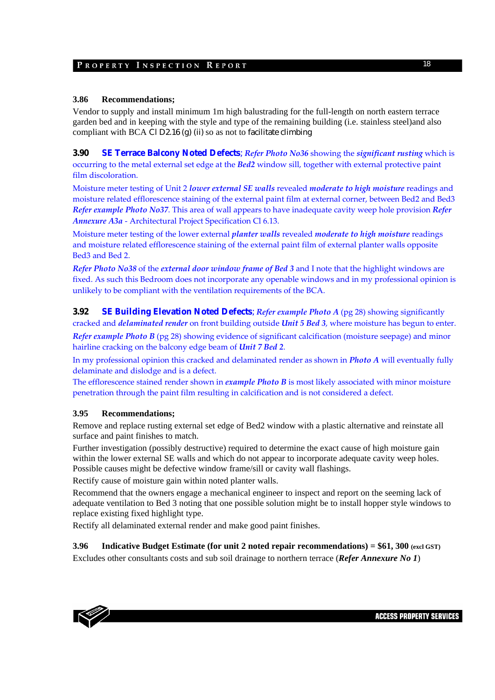### **3.86 Recommendations;**

Vendor to supply and install minimum 1m high balustrading for the full-length on north eastern terrace garden bed and in keeping with the style and type of the remaining building (i.e. stainless steel)and also compliant with BCA Cl D2.16 (g) (ii) so as not to facilitate climbing

**3.90 SE Terrace Balcony Noted Defects**; *Refer Photo No36* showing the *significant rusting* which is occurring to the metal external set edge at the *Bed2* window sill, together with external protective paint film discoloration.

Moisture meter testing of Unit 2 *lower external SE walls* revealed *moderate to high moisture* readings and moisture related efflorescence staining of the external paint film at external corner, between Bed2 and Bed3 *Refer example Photo No37*. This area of wall appears to have inadequate cavity weep hole provision *Refer Annexure A3a* ‐ Architectural Project Specification Cl 6.13.

Moisture meter testing of the lower external *planter walls* revealed *moderate to high moisture* readings and moisture related efflorescence staining of the external paint film of external planter walls opposite Bed3 and Bed 2.

*Refer Photo No38* of the *external door window frame of Bed 3* and I note that the highlight windows are fixed. As such this Bedroom does not incorporate any openable windows and in my professional opinion is unlikely to be compliant with the ventilation requirements of the BCA.

**3.92 SE Building Elevation Noted Defects**; *Refer example Photo A* (pg 28) showing significantly cracked and *delaminated render* on front building outside *Unit 5 Bed 3*, where moisture has begun to enter.

*Refer example Photo B* (pg 28) showing evidence of significant calcification (moisture seepage) and minor hairline cracking on the balcony edge beam of *Unit 7 Bed 2*.

In my professional opinion this cracked and delaminated render as shown in *Photo A* will eventually fully delaminate and dislodge and is a defect.

The efflorescence stained render shown in *example Photo B* is most likely associated with minor moisture penetration through the paint film resulting in calcification and is not considered a defect.

### **3.95 Recommendations;**

Remove and replace rusting external set edge of Bed2 window with a plastic alternative and reinstate all surface and paint finishes to match.

Further investigation (possibly destructive) required to determine the exact cause of high moisture gain within the lower external SE walls and which do not appear to incorporate adequate cavity weep holes. Possible causes might be defective window frame/sill or cavity wall flashings.

Rectify cause of moisture gain within noted planter walls.

Recommend that the owners engage a mechanical engineer to inspect and report on the seeming lack of adequate ventilation to Bed 3 noting that one possible solution might be to install hopper style windows to replace existing fixed highlight type.

Rectify all delaminated external render and make good paint finishes.

**3.96 Indicative Budget Estimate (for unit 2 noted repair recommendations) = \$61, 300 (excl GST)**  Excludes other consultants costs and sub soil drainage to northern terrace (*Refer Annexure No 1*)

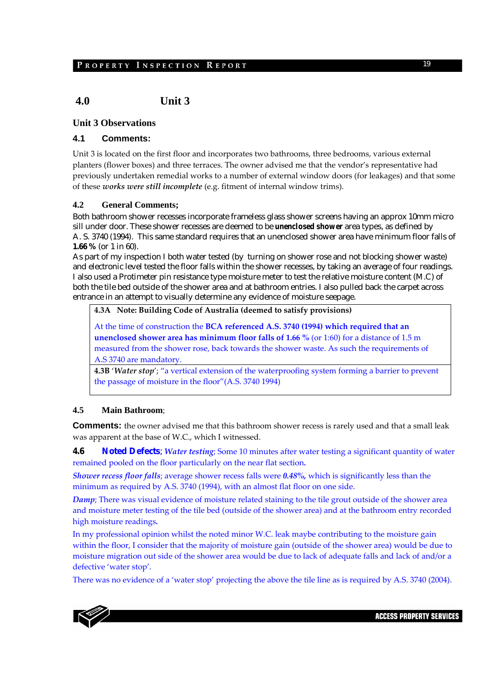# **4.0 Unit 3**

### **Unit 3 Observations**

### **4.1 Comments:**

Unit 3 is located on the first floor and incorporates two bathrooms, three bedrooms, various external planters (flower boxes) and three terraces. The owner advised me that the vendor's representative had previously undertaken remedial works to a number of external window doors (for leakages) and that some of these *works were still incomplete* (e.g. fitment of internal window trims).

#### **4.2 General Comments;**

Both bathroom shower recesses incorporate frameless glass shower screens having an approx 10mm micro sill under door. These shower recesses are deemed to be *unenclosed shower* area types, as defined by A. S. 3740 (1994). This same standard requires that an unenclosed shower area have minimum floor falls of **1.66 %** (or 1 in 60).

As part of my inspection I both water tested (by turning on shower rose and not blocking shower waste) and electronic level tested the floor falls within the shower recesses, by taking an average of four readings. I also used a Protimeter pin resistance type moisture meter to test the relative moisture content (M.C) of both the tile bed outside of the shower area and at bathroom entries. I also pulled back the carpet across entrance in an attempt to visually determine any evidence of moisture seepage.

#### **4.3A Note: Building Code of Australia (deemed to satisfy provisions)**

At the time of construction the **BCA referenced A.S. 3740 (1994) which required that an unenclosed shower area has minimum floor falls of 1.66 %** (or 1:60) for a distance of 1.5 m measured from the shower rose, back towards the shower waste. As such the requirements of A.S 3740 are mandatory.

**4.3B** '*Water stop*'; "a vertical extension of the waterproofing system forming a barrier to prevent the passage of moisture in the floor"(A.S. 3740 1994)

#### **4.5 Main Bathroom**;

**Comments:** the owner advised me that this bathroom shower recess is rarely used and that a small leak was apparent at the base of W.C., which I witnessed.

**4.6 Noted Defects**; *Water testing*; Some 10 minutes after water testing a significant quantity of water remained pooled on the floor particularly on the near flat section*.*

*Shower recess floor falls*; average shower recess falls were *0.48%,* which is significantly less than the minimum as required by A.S. 3740 (1994), with an almost flat floor on one side.

*Damp*; There was visual evidence of moisture related staining to the tile grout outside of the shower area and moisture meter testing of the tile bed (outside of the shower area) and at the bathroom entry recorded high moisture readings*.*

In my professional opinion whilst the noted minor W.C. leak maybe contributing to the moisture gain within the floor, I consider that the majority of moisture gain (outside of the shower area) would be due to moisture migration out side of the shower area would be due to lack of adequate falls and lack of and/or a defective 'water stop'.

There was no evidence of a 'water stop' projecting the above the tile line as is required by A.S. 3740 (2004).

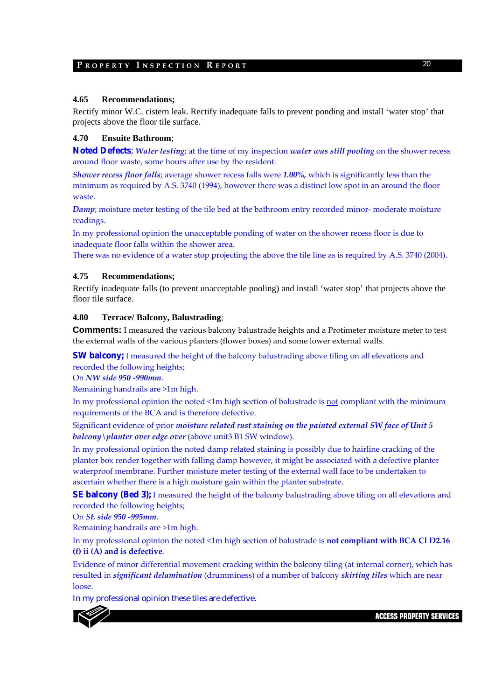#### **4.65 Recommendations;**

Rectify minor W.C. cistern leak. Rectify inadequate falls to prevent ponding and install 'water stop' that projects above the floor tile surface.

### **4.70 Ensuite Bathroom**;

**Noted Defects**; *Water testing*; at the time of my inspection *water was still pooling* on the shower recess around floor waste, some hours after use by the resident.

*Shower recess floor falls*; average shower recess falls were *1.00%,* which is significantly less than the minimum as required by A.S. 3740 (1994), however there was a distinct low spot in an around the floor waste.

*Damp*; moisture meter testing of the tile bed at the bathroom entry recorded minor-moderate moisture readings.

In my professional opinion the unacceptable ponding of water on the shower recess floor is due to inadequate floor falls within the shower area.

There was no evidence of a water stop projecting the above the tile line as is required by A.S. 3740 (2004).

#### **4.75 Recommendations;**

Rectify inadequate falls (to prevent unacceptable pooling) and install 'water stop' that projects above the floor tile surface.

#### **4.80 Terrace/ Balcony, Balustrading**;

**Comments:** I measured the various balcony balustrade heights and a Protimeter moisture meter to test the external walls of the various planters (flower boxes) and some lower external walls.

**SW balcony;** I measured the height of the balcony balustrading above tiling on all elevations and recorded the following heights;

On *NW side 950 ‐990mm*.

Remaining handrails are >1m high.

In my professional opinion the noted <1m high section of balustrade is not compliant with the minimum requirements of the BCA and is therefore defective.

Significant evidence of prior *moisture related rust staining on the painted external SW face of Unit 5 balcony\planter over edge over* (above unit3 B1 SW window).

In my professional opinion the noted damp related staining is possibly due to hairline cracking of the planter box render together with falling damp however, it might be associated with a defective planter waterproof membrane. Further moisture meter testing of the external wall face to be undertaken to ascertain whether there is a high moisture gain within the planter substrate.

**SE balcony (Bed 3);** I measured the height of the balcony balustrading above tiling on all elevations and recorded the following heights;

On *SE side 950 ‐995mm*.

Remaining handrails are >1m high.

In my professional opinion the noted <1m high section of balustrade is **not compliant with BCA Cl D2.16 (f) ii (A) and is defective**.

Evidence of minor differential movement cracking within the balcony tiling (at internal corner), which has resulted in *significant delamination* (drumminess) of a number of balcony *skirting tiles* which are near loose.

In my professional opinion these tiles are defective.

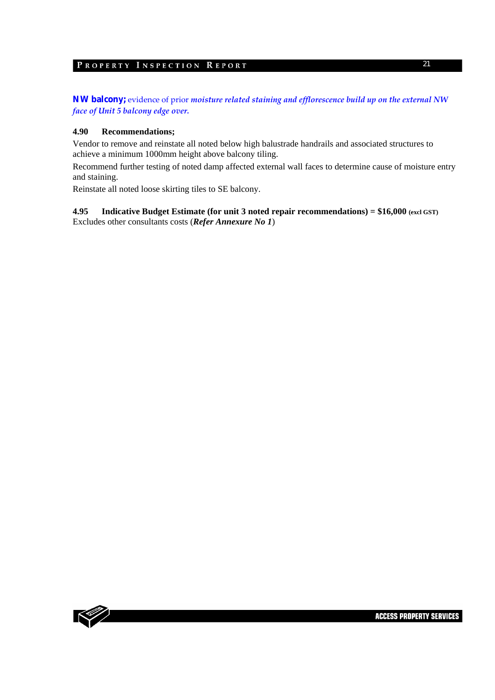**NW balcony;** evidence of prior *moisture related staining and efflorescence build up on the external NW face of Unit 5 balcony edge over.*

#### **4.90 Recommendations;**

Vendor to remove and reinstate all noted below high balustrade handrails and associated structures to achieve a minimum 1000mm height above balcony tiling.

Recommend further testing of noted damp affected external wall faces to determine cause of moisture entry and staining.

Reinstate all noted loose skirting tiles to SE balcony.

#### **4.95 Indicative Budget Estimate (for unit 3 noted repair recommendations) = \$16,000 (excl GST)** Excludes other consultants costs (*Refer Annexure No 1*)

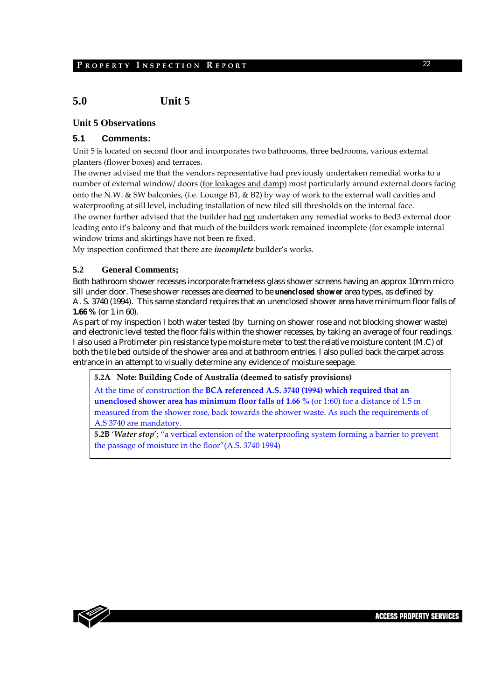# **5.0 Unit 5**

### **Unit 5 Observations**

### **5.1 Comments:**

Unit 5 is located on second floor and incorporates two bathrooms, three bedrooms, various external planters (flower boxes) and terraces.

The owner advised me that the vendors representative had previously undertaken remedial works to a number of external window/ doors (for leakages and damp) most particularly around external doors facing onto the N.W. & SW balconies, (i.e. Lounge B1, & B2) by way of work to the external wall cavities and waterproofing at sill level, including installation of new tiled sill thresholds on the internal face. The owner further advised that the builder had not undertaken any remedial works to Bed3 external door leading onto it's balcony and that much of the builders work remained incomplete (for example internal window trims and skirtings have not been re fixed.

My inspection confirmed that there are *incomplete* builder's works.

### **5.2 General Comments;**

Both bathroom shower recesses incorporate frameless glass shower screens having an approx 10mm micro sill under door. These shower recesses are deemed to be *unenclosed shower* area types, as defined by A. S. 3740 (1994). This same standard requires that an unenclosed shower area have minimum floor falls of **1.66 %** (or 1 in 60).

As part of my inspection I both water tested (by turning on shower rose and not blocking shower waste) and electronic level tested the floor falls within the shower recesses, by taking an average of four readings. I also used a Protimeter pin resistance type moisture meter to test the relative moisture content (M.C) of both the tile bed outside of the shower area and at bathroom entries. I also pulled back the carpet across entrance in an attempt to visually determine any evidence of moisture seepage.

**5.2A Note: Building Code of Australia (deemed to satisfy provisions)**

At the time of construction the **BCA referenced A.S. 3740 (1994) which required that an unenclosed shower area has minimum floor falls of 1.66 %** (or 1:60) for a distance of 1.5 m measured from the shower rose, back towards the shower waste. As such the requirements of A.S 3740 are mandatory.

**5.2B** '*Water stop*'; "a vertical extension of the waterproofing system forming a barrier to prevent the passage of moisture in the floor"(A.S. 3740 1994)

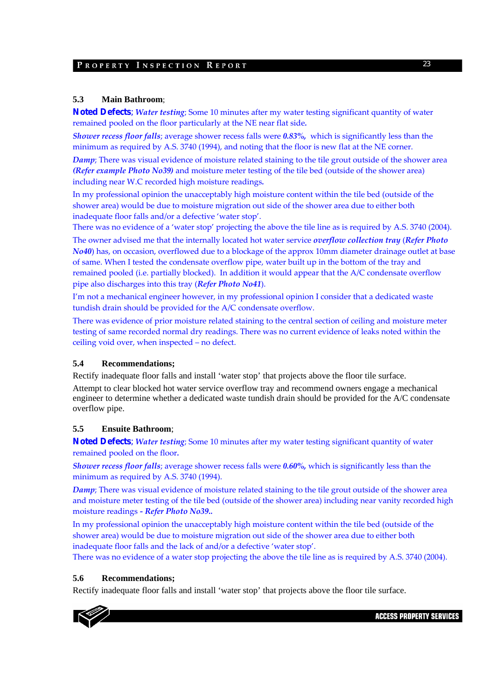### **5.3 Main Bathroom**;

**Noted Defects**; *Water testing*; Some 10 minutes after my water testing significant quantity of water remained pooled on the floor particularly at the NE near flat side*.*

*Shower recess floor falls*; average shower recess falls were *0.83%,* which is significantly less than the minimum as required by A.S. 3740 (1994), and noting that the floor is new flat at the NE corner.

*Damp*; There was visual evidence of moisture related staining to the tile grout outside of the shower area *(Refer example Photo No39)* and moisture meter testing of the tile bed (outside of the shower area) including near W.C recorded high moisture readings*.*

In my professional opinion the unacceptably high moisture content within the tile bed (outside of the shower area) would be due to moisture migration out side of the shower area due to either both inadequate floor falls and/or a defective 'water stop'.

There was no evidence of a 'water stop' projecting the above the tile line as is required by A.S. 3740 (2004).

The owner advised me that the internally located hot water service *overflow collection tray* (*Refer Photo No40*) has, on occasion, overflowed due to a blockage of the approx 10mm diameter drainage outlet at base of same. When I tested the condensate overflow pipe, water built up in the bottom of the tray and remained pooled (i.e. partially blocked). In addition it would appear that the A/C condensate overflow pipe also discharges into this tray (*Refer Photo No41*).

I'm not a mechanical engineer however, in my professional opinion I consider that a dedicated waste tundish drain should be provided for the A/C condensate overflow.

There was evidence of prior moisture related staining to the central section of ceiling and moisture meter testing of same recorded normal dry readings. There was no current evidence of leaks noted within the ceiling void over, when inspected – no defect.

### **5.4 Recommendations;**

Rectify inadequate floor falls and install 'water stop' that projects above the floor tile surface. Attempt to clear blocked hot water service overflow tray and recommend owners engage a mechanical engineer to determine whether a dedicated waste tundish drain should be provided for the A/C condensate overflow pipe.

### **5.5 Ensuite Bathroom**;

**Noted Defects**; *Water testing*; Some 10 minutes after my water testing significant quantity of water remained pooled on the floor*.*

*Shower recess floor falls*; average shower recess falls were *0.60%,* which is significantly less than the minimum as required by A.S. 3740 (1994).

*Damp*; There was visual evidence of moisture related staining to the tile grout outside of the shower area and moisture meter testing of the tile bed (outside of the shower area) including near vanity recorded high moisture readings *‐ Refer Photo No39..*

In my professional opinion the unacceptably high moisture content within the tile bed (outside of the shower area) would be due to moisture migration out side of the shower area due to either both inadequate floor falls and the lack of and/or a defective 'water stop'.

There was no evidence of a water stop projecting the above the tile line as is required by A.S. 3740 (2004).

### **5.6 Recommendations;**

Rectify inadequate floor falls and install 'water stop' that projects above the floor tile surface.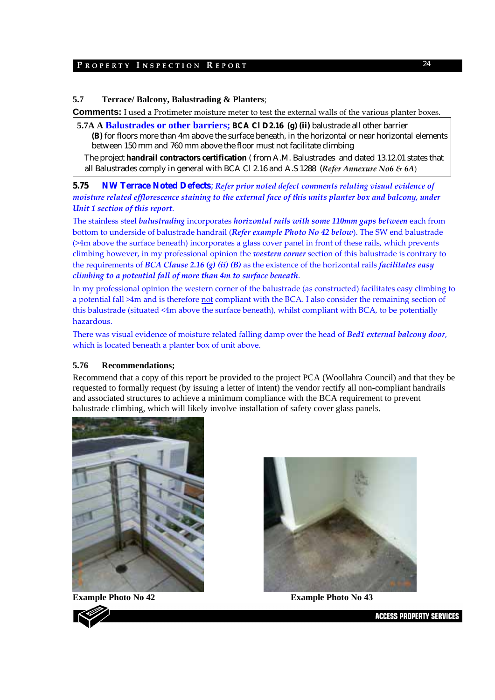### **5.7 Terrace/ Balcony, Balustrading & Planters**;

**Comments:** I used a Protimeter moisture meter to test the external walls of the various planter boxes.

**5.7A A Balustrades or other barriers; BCA Cl D2.16 (g) (ii)** balustrade all other barrier **(B)** for floors more than 4m above the surface beneath, in the horizontal or near horizontal elements between 150 mm and 760 mm above the floor must not facilitate climbing

The project **handrail contractors certification** ( from A.M. Balustrades and dated 13.12.01 states that all Balustrades comply in general with BCA Cl 2.16 and A.S 1288 (*Refer Annexure No6 & 6A*)

**5.75 NW Terrace Noted Defects**; *Refer prior noted defect comments relating visual evidence of moisture related efflorescence staining to the external face of this units planter box and balcony, under Unit 1 section of this report*.

The stainless steel *balustrading* incorporates *horizontal rails with some 110mm gaps between* each from bottom to underside of balustrade handrail (*Refer example Photo No 42 below*). The SW end balustrade (>4m above the surface beneath) incorporates a glass cover panel in front of these rails, which prevents climbing however, in my professional opinion the *western corner* section of this balustrade is contrary to the requirements of *BCA Clause 2.16 (g) (ii) (B)* as the existence of the horizontal rails *facilitates easy climbing to a potential fall of more than 4m to surface beneath*.

In my professional opinion the western corner of the balustrade (as constructed) facilitates easy climbing to a potential fall >4m and is therefore not compliant with the BCA. I also consider the remaining section of this balustrade (situated <4m above the surface beneath), whilst compliant with BCA, to be potentially hazardous.

There was visual evidence of moisture related falling damp over the head of *Bed1 external balcony door*, which is located beneath a planter box of unit above.

### **5.76 Recommendations;**

Recommend that a copy of this report be provided to the project PCA (Woollahra Council) and that they be requested to formally request (by issuing a letter of intent) the vendor rectify all non-compliant handrails and associated structures to achieve a minimum compliance with the BCA requirement to prevent balustrade climbing, which will likely involve installation of safety cover glass panels.





**Example Photo No 42** Example Photo No 43

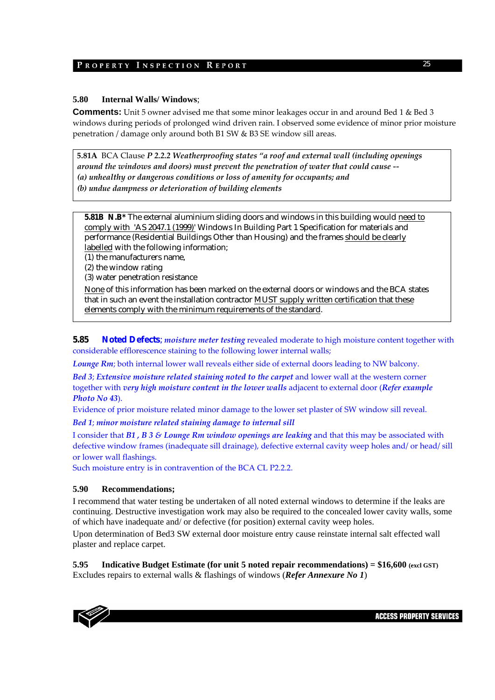### **5.80 Internal Walls/ Windows**;

**Comments:** Unit 5 owner advised me that some minor leakages occur in and around Bed 1 & Bed 3 windows during periods of prolonged wind driven rain. I observed some evidence of minor prior moisture penetration / damage only around both B1 SW & B3 SE window sill areas.

**5.81A** BCA Clause *P 2.2.2 Weatherproofing states "a roof and external wall (including openings around the windows and doors) must prevent the penetration of water that could cause ‐‐ (a) unhealthy or dangerous conditions or loss of amenity for occupants; and (b) undue dampness or deterioration of building elements*

**5.81B N.B\*** The external aluminium sliding doors and windows in this building would need to comply with 'AS 2047.1 (1999)' Windows In Building Part 1 Specification for materials and performance (Residential Buildings Other than Housing) and the frames should be clearly labelled with the following information;

(1) the manufacturers name,

(2) the window rating

(3) water penetration resistance

None of this information has been marked on the external doors or windows and the BCA states that in such an event the installation contractor MUST supply written certification that these elements comply with the minimum requirements of the standard.

**5.85 Noted Defects**; *moisture meter testing* revealed moderate to high moisture content together with considerable efflorescence staining to the following lower internal walls;

*Lounge Rm*; both internal lower wall reveals either side of external doors leading to NW balcony.

*Bed 3*; *Extensive moisture related staining noted to the carpet* and lower wall at the western corner together with *very high moisture content in the lower walls* adjacent to external door (*Refer example Photo No 43*).

Evidence of prior moisture related minor damage to the lower set plaster of SW window sill reveal.

*Bed 1*; *minor moisture related staining damage to internal sill* 

I consider that *B1 , B 3 & Lounge Rm window openings are leaking* and that this may be associated with defective window frames (inadequate sill drainage), defective external cavity weep holes and/ or head/ sill or lower wall flashings.

Such moisture entry is in contravention of the BCA CL P2.2.2.

### **5.90 Recommendations;**

I recommend that water testing be undertaken of all noted external windows to determine if the leaks are continuing. Destructive investigation work may also be required to the concealed lower cavity walls, some of which have inadequate and/ or defective (for position) external cavity weep holes.

Upon determination of Bed3 SW external door moisture entry cause reinstate internal salt effected wall plaster and replace carpet.

**5.95 Indicative Budget Estimate (for unit 5 noted repair recommendations) = \$16,600 (excl GST)** Excludes repairs to external walls & flashings of windows (*Refer Annexure No 1*)

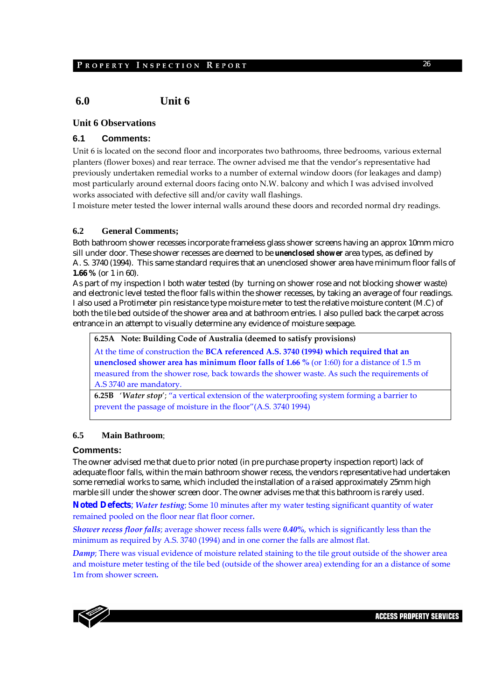# **6.0 Unit 6**

### **Unit 6 Observations**

### **6.1 Comments:**

Unit 6 is located on the second floor and incorporates two bathrooms, three bedrooms, various external planters (flower boxes) and rear terrace. The owner advised me that the vendor's representative had previously undertaken remedial works to a number of external window doors (for leakages and damp) most particularly around external doors facing onto N.W. balcony and which I was advised involved works associated with defective sill and/or cavity wall flashings.

I moisture meter tested the lower internal walls around these doors and recorded normal dry readings.

### **6.2 General Comments;**

Both bathroom shower recesses incorporate frameless glass shower screens having an approx 10mm micro sill under door. These shower recesses are deemed to be *unenclosed shower* area types, as defined by A. S. 3740 (1994). This same standard requires that an unenclosed shower area have minimum floor falls of **1.66 %** (or 1 in 60).

As part of my inspection I both water tested (by turning on shower rose and not blocking shower waste) and electronic level tested the floor falls within the shower recesses, by taking an average of four readings. I also used a Protimeter pin resistance type moisture meter to test the relative moisture content (M.C) of both the tile bed outside of the shower area and at bathroom entries. I also pulled back the carpet across entrance in an attempt to visually determine any evidence of moisture seepage.

**6.25A Note: Building Code of Australia (deemed to satisfy provisions)**

At the time of construction the **BCA referenced A.S. 3740 (1994) which required that an unenclosed shower area has minimum floor falls of 1.66 %** (or 1:60) for a distance of 1.5 m measured from the shower rose, back towards the shower waste. As such the requirements of A.S 3740 are mandatory.

**6.25B**  '*Water stop*'; "a vertical extension of the waterproofing system forming a barrier to prevent the passage of moisture in the floor"(A.S. 3740 1994)

### **6.5 Main Bathroom**;

#### **Comments:**

The owner advised me that due to prior noted (in pre purchase property inspection report) lack of adequate floor falls, within the main bathroom shower recess, the vendors representative had undertaken some remedial works to same, which included the installation of a raised approximately 25mm high marble sill under the shower screen door. The owner advises me that this bathroom is rarely used.

**Noted Defects**; *Water testing*; Some 10 minutes after my water testing significant quantity of water remained pooled on the floor near flat floor corner*.*

*Shower recess floor falls*; average shower recess falls were *0.40%*, which is significantly less than the minimum as required by A.S. 3740 (1994) and in one corner the falls are almost flat.

*Damp*; There was visual evidence of moisture related staining to the tile grout outside of the shower area and moisture meter testing of the tile bed (outside of the shower area) extending for an a distance of some 1m from shower screen*.*

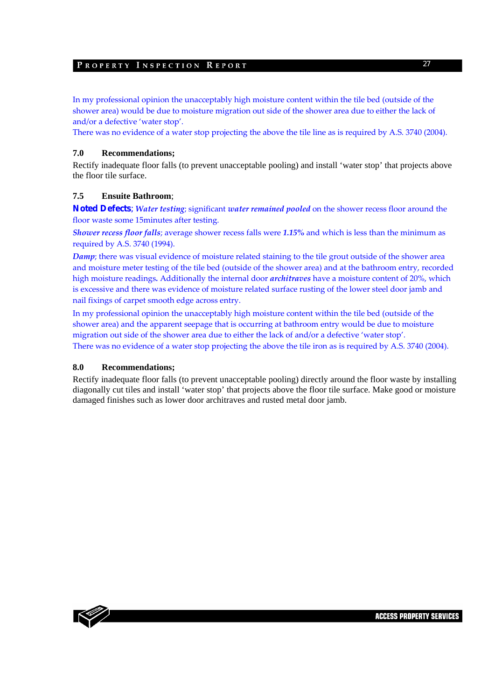In my professional opinion the unacceptably high moisture content within the tile bed (outside of the shower area) would be due to moisture migration out side of the shower area due to either the lack of and/or a defective 'water stop'.

There was no evidence of a water stop projecting the above the tile line as is required by A.S. 3740 (2004).

### **7.0 Recommendations;**

Rectify inadequate floor falls (to prevent unacceptable pooling) and install 'water stop' that projects above the floor tile surface.

### **7.5 Ensuite Bathroom**;

**Noted Defects**; *Water testing*; significant *water remained pooled* on the shower recess floor around the floor waste some 15minutes after testing.

*Shower recess floor falls*; average shower recess falls were *1.15%* and which is less than the minimum as required by A.S. 3740 (1994).

*Damp*; there was visual evidence of moisture related staining to the tile grout outside of the shower area and moisture meter testing of the tile bed (outside of the shower area) and at the bathroom entry, recorded high moisture readings*.* Additionally the internal door *architraves* have a moisture content of 20%, which is excessive and there was evidence of moisture related surface rusting of the lower steel door jamb and nail fixings of carpet smooth edge across entry.

In my professional opinion the unacceptably high moisture content within the tile bed (outside of the shower area) and the apparent seepage that is occurring at bathroom entry would be due to moisture migration out side of the shower area due to either the lack of and/or a defective 'water stop'. There was no evidence of a water stop projecting the above the tile iron as is required by A.S. 3740 (2004).

### **8.0 Recommendations;**

Rectify inadequate floor falls (to prevent unacceptable pooling) directly around the floor waste by installing diagonally cut tiles and install 'water stop' that projects above the floor tile surface. Make good or moisture damaged finishes such as lower door architraves and rusted metal door jamb.

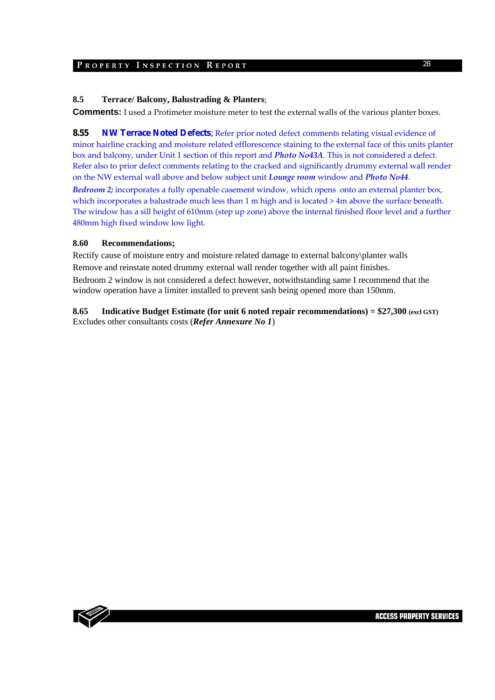### **8.5 Terrace/ Balcony, Balustrading & Planters**;

**Comments:** I used a Protimeter moisture meter to test the external walls of the various planter boxes.

**8.55 NW Terrace Noted Defects**; Refer prior noted defect comments relating visual evidence of minor hairline cracking and moisture related efflorescence staining to the external face of this units planter box and balcony, under Unit 1 section of this report and *Photo No43A*. This is not considered a defect. Refer also to prior defect comments relating to the cracked and significantly drummy external wall render on the NW external wall above and below subject unit *Lounge room* window and *Photo No44*.

*Bedroom 2;* incorporates a fully openable casement window, which opens onto an external planter box, which incorporates a balustrade much less than 1 m high and is located > 4m above the surface beneath. The window has a sill height of 610mm (step up zone) above the internal finished floor level and a further 480mm high fixed window low light.

### **8.60 Recommendations;**

Rectify cause of moisture entry and moisture related damage to external balcony\planter walls Remove and reinstate noted drummy external wall render together with all paint finishes. Bedroom 2 window is not considered a defect however, notwithstanding same I recommend that the window operation have a limiter installed to prevent sash being opened more than 150mm.

**8.65 Indicative Budget Estimate (for unit 6 noted repair recommendations) = \$27,300 (excl GST)** Excludes other consultants costs (*Refer Annexure No 1*)

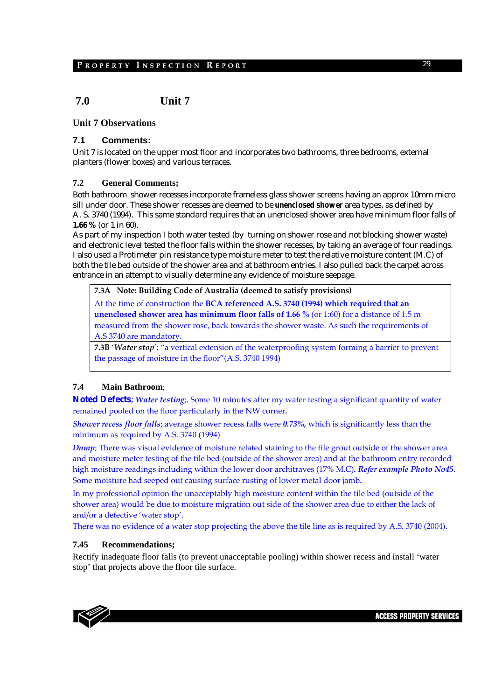# **7.0 Unit 7**

### **Unit 7 Observations**

### **7.1 Comments:**

Unit 7 is located on the upper most floor and incorporates two bathrooms, three bedrooms, external planters (flower boxes) and various terraces.

#### **7.2 General Comments;**

Both bathroom shower recesses incorporate frameless glass shower screens having an approx 10mm micro sill under door. These shower recesses are deemed to be *unenclosed shower* area types, as defined by A. S. 3740 (1994). This same standard requires that an unenclosed shower area have minimum floor falls of **1.66 %** (or 1 in 60).

As part of my inspection I both water tested (by turning on shower rose and not blocking shower waste) and electronic level tested the floor falls within the shower recesses, by taking an average of four readings. I also used a Protimeter pin resistance type moisture meter to test the relative moisture content (M.C) of both the tile bed outside of the shower area and at bathroom entries. I also pulled back the carpet across entrance in an attempt to visually determine any evidence of moisture seepage.

### **7.3A Note: Building Code of Australia (deemed to satisfy provisions)**

At the time of construction the **BCA referenced A.S. 3740 (1994) which required that an unenclosed shower area has minimum floor falls of 1.66 %** (or 1:60) for a distance of 1.5 m measured from the shower rose, back towards the shower waste. As such the requirements of A.S 3740 are mandatory.

**7.3B** '*Water stop*'; "a vertical extension of the waterproofing system forming a barrier to prevent the passage of moisture in the floor"(A.S. 3740 1994)

### **7.4 Main Bathroom**;

**Noted Defects**; *Water testing*;. Some 10 minutes after my water testing a significant quantity of water remained pooled on the floor particularly in the NW corner*.*

*Shower recess floor falls*; average shower recess falls were *0.73%,* which is significantly less than the minimum as required by A.S. 3740 (1994)

*Damp*; There was visual evidence of moisture related staining to the tile grout outside of the shower area and moisture meter testing of the tile bed (outside of the shower area) and at the bathroom entry recorded high moisture readings including within the lower door architraves (17% M.C)*. Refer example Photo No45*. Some moisture had seeped out causing surface rusting of lower metal door jamb*.*

In my professional opinion the unacceptably high moisture content within the tile bed (outside of the shower area) would be due to moisture migration out side of the shower area due to either the lack of and/or a defective 'water stop'.

There was no evidence of a water stop projecting the above the tile line as is required by A.S. 3740 (2004).

#### **7.45 Recommendations;**

Rectify inadequate floor falls (to prevent unacceptable pooling) within shower recess and install 'water stop' that projects above the floor tile surface.

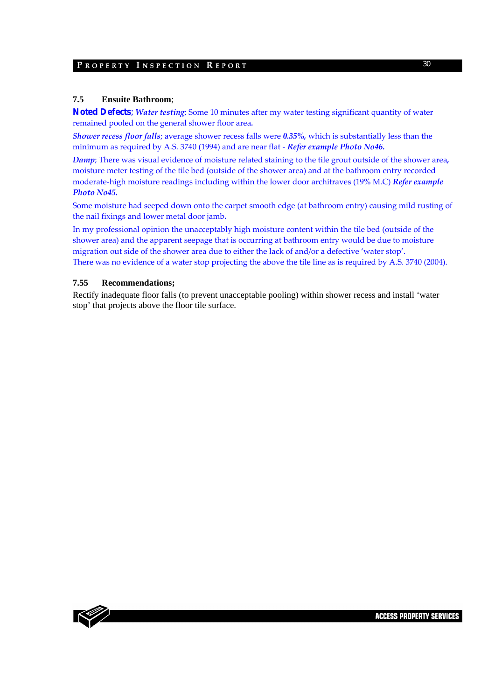#### **7.5 Ensuite Bathroom**;

**Noted Defects**; *Water testing*; Some 10 minutes after my water testing significant quantity of water remained pooled on the general shower floor area*.*

*Shower recess floor falls*; average shower recess falls were *0.35%,* which is substantially less than the minimum as required by A.S. 3740 (1994) and are near flat ‐ *Refer example Photo No46.* 

*Damp*; There was visual evidence of moisture related staining to the tile grout outside of the shower area*,* moisture meter testing of the tile bed (outside of the shower area) and at the bathroom entry recorded moderate‐high moisture readings including within the lower door architraves (19% M.C) *Refer example Photo No45.*

Some moisture had seeped down onto the carpet smooth edge (at bathroom entry) causing mild rusting of the nail fixings and lower metal door jamb*.*

In my professional opinion the unacceptably high moisture content within the tile bed (outside of the shower area) and the apparent seepage that is occurring at bathroom entry would be due to moisture migration out side of the shower area due to either the lack of and/or a defective 'water stop'. There was no evidence of a water stop projecting the above the tile line as is required by A.S. 3740 (2004).

#### **7.55 Recommendations;**

Rectify inadequate floor falls (to prevent unacceptable pooling) within shower recess and install 'water stop' that projects above the floor tile surface.

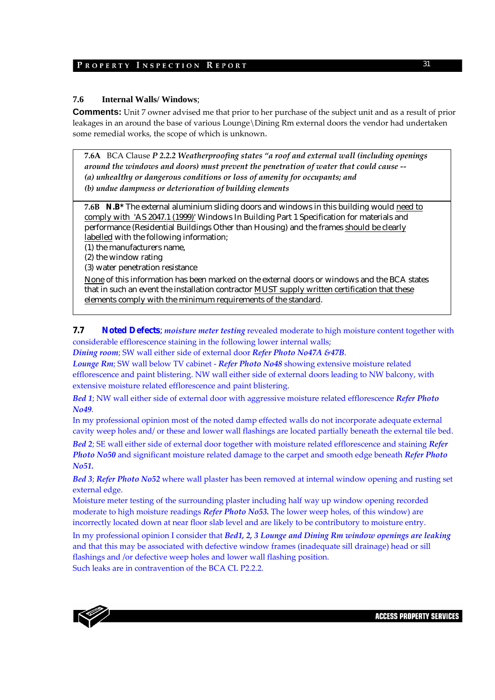### **7.6 Internal Walls/ Windows**;

**Comments:** Unit 7 owner advised me that prior to her purchase of the subject unit and as a result of prior leakages in an around the base of various Lounge \Dining Rm external doors the vendor had undertaken some remedial works, the scope of which is unknown.

**7.6A**  BCA Clause *P 2.2.2 Weatherproofing states "a roof and external wall (including openings around the windows and doors) must prevent the penetration of water that could cause ‐‐ (a) unhealthy or dangerous conditions or loss of amenity for occupants; and (b) undue dampness or deterioration of building elements*

**7.6B N.B\*** The external aluminium sliding doors and windows in this building would need to comply with 'AS 2047.1 (1999)' Windows In Building Part 1 Specification for materials and performance (Residential Buildings Other than Housing) and the frames should be clearly labelled with the following information;

(1) the manufacturers name,

(2) the window rating

(3) water penetration resistance

None of this information has been marked on the external doors or windows and the BCA states that in such an event the installation contractor MUST supply written certification that these elements comply with the minimum requirements of the standard.

### **7.7 Noted Defects**; *moisture meter testing* revealed moderate to high moisture content together with considerable efflorescence staining in the following lower internal walls;

*Dining room*; SW wall either side of external door *Refer Photo No47A &47B*.

*Lounge Rm*; SW wall below TV cabinet ‐ *Refer Photo No48* showing extensive moisture related efflorescence and paint blistering. NW wall either side of external doors leading to NW balcony, with extensive moisture related efflorescence and paint blistering.

*Bed 1*; NW wall either side of external door with aggressive moisture related efflorescence *Refer Photo No49*.

In my professional opinion most of the noted damp effected walls do not incorporate adequate external cavity weep holes and/ or these and lower wall flashings are located partially beneath the external tile bed.

*Bed 2*; SE wall either side of external door together with moisture related efflorescence and staining *Refer Photo No50* and significant moisture related damage to the carpet and smooth edge beneath *Refer Photo No51.*

*Bed 3*; *Refer Photo No52* where wall plaster has been removed at internal window opening and rusting set external edge.

Moisture meter testing of the surrounding plaster including half way up window opening recorded moderate to high moisture readings *Refer Photo No53.* The lower weep holes, of this window) are incorrectly located down at near floor slab level and are likely to be contributory to moisture entry.

In my professional opinion I consider that *Bed1, 2, 3 Lounge and Dining Rm window openings are leaking* and that this may be associated with defective window frames (inadequate sill drainage) head or sill flashings and /or defective weep holes and lower wall flashing position.

Such leaks are in contravention of the BCA CL P2.2.2.

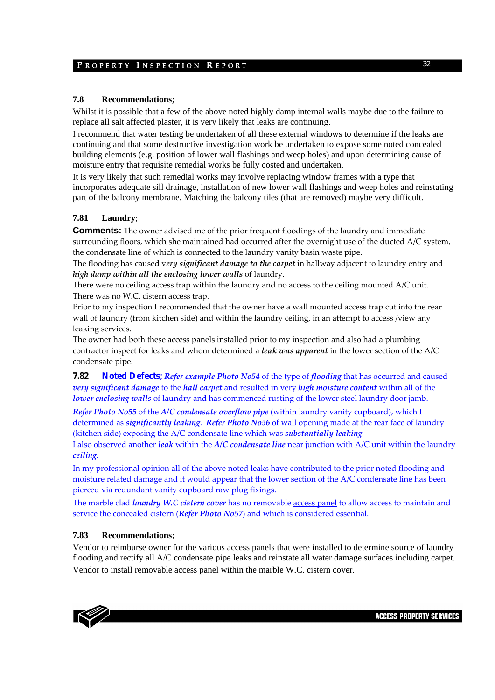### **7.8 Recommendations;**

Whilst it is possible that a few of the above noted highly damp internal walls maybe due to the failure to replace all salt affected plaster, it is very likely that leaks are continuing.

I recommend that water testing be undertaken of all these external windows to determine if the leaks are continuing and that some destructive investigation work be undertaken to expose some noted concealed building elements (e.g. position of lower wall flashings and weep holes) and upon determining cause of moisture entry that requisite remedial works be fully costed and undertaken.

It is very likely that such remedial works may involve replacing window frames with a type that incorporates adequate sill drainage, installation of new lower wall flashings and weep holes and reinstating part of the balcony membrane. Matching the balcony tiles (that are removed) maybe very difficult.

### **7.81 Laundry**;

**Comments:** The owner advised me of the prior frequent floodings of the laundry and immediate surrounding floors, which she maintained had occurred after the overnight use of the ducted A/C system, the condensate line of which is connected to the laundry vanity basin waste pipe.

The flooding has caused v*ery significant damage to the carpet* in hallway adjacent to laundry entry and *high damp within all the enclosing lower walls* of laundry.

There were no ceiling access trap within the laundry and no access to the ceiling mounted A/C unit. There was no W.C. cistern access trap.

Prior to my inspection I recommended that the owner have a wall mounted access trap cut into the rear wall of laundry (from kitchen side) and within the laundry ceiling, in an attempt to access /view any leaking services.

The owner had both these access panels installed prior to my inspection and also had a plumbing contractor inspect for leaks and whom determined a *leak was apparent* in the lower section of the A/C condensate pipe.

**7.82 Noted Defects**; *Refer example Photo No54* of the type of *flooding* that has occurred and caused *very significant damage* to the *hall carpet* and resulted in very *high moisture content* within all of the *lower enclosing walls* of laundry and has commenced rusting of the lower steel laundry door jamb.

*Refer Photo No55* of the *A/C condensate overflow pipe* (within laundry vanity cupboard), which I determined as *significantly leaking*. *Refer Photo No56* of wall opening made at the rear face of laundry (kitchen side) exposing the A/C condensate line which was *substantially leaking*.

I also observed another *leak* within the *A/C condensate line* near junction with A/C unit within the laundry *ceiling*.

In my professional opinion all of the above noted leaks have contributed to the prior noted flooding and moisture related damage and it would appear that the lower section of the A/C condensate line has been pierced via redundant vanity cupboard raw plug fixings.

The marble clad *laundry W.C cistern cover* has no removable access panel to allow access to maintain and service the concealed cistern (*Refer Photo No57*) and which is considered essential.

### **7.83 Recommendations;**

Vendor to reimburse owner for the various access panels that were installed to determine source of laundry flooding and rectify all A/C condensate pipe leaks and reinstate all water damage surfaces including carpet. Vendor to install removable access panel within the marble W.C. cistern cover.

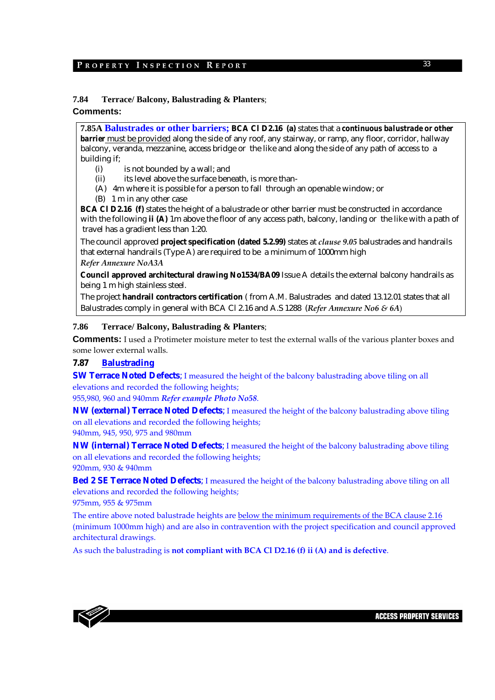### **7.84 Terrace/ Balcony, Balustrading & Planters**;

### **Comments:**

**7.85A Balustrades or other barriers; BCA Cl D2.16 (a)** states that a *continuous balustrade or other barrier* must be provided along the side of any roof, any stairway, or ramp, any floor, corridor, hallway balcony, veranda, mezzanine, access bridge or the like and along the side of any path of access to a building if;

- (i) is not bounded by a wall; and
- (ii) its level above the surface beneath, is more than-
- (A) 4m where it is possible for a person to fall through an openable window; or
- (B) 1 m in any other case

**BCA Cl D2.16 (f)** states the height of a balustrade or other barrier must be constructed in accordance with the following **ii (A)** 1m above the floor of any access path, balcony, landing or the like with a path of travel has a gradient less than 1:20.

The council approved **project specification (dated 5.2.99)** states at *clause 9.05* balustrades and handrails that external handrails (Type A) are required to be a minimum of 1000mm high *Refer Annexure NoA3A*

**Council approved architectural drawing No1534/BA09** Issue A details the external balcony handrails as being 1 m high stainless steel.

The project **handrail contractors certification** ( from A.M. Balustrades and dated 13.12.01 states that all Balustrades comply in general with BCA Cl 2.16 and A.S 1288 (*Refer Annexure No6 & 6A*)

#### **7.86 Terrace/ Balcony, Balustrading & Planters**;

**Comments:** I used a Protimeter moisture meter to test the external walls of the various planter boxes and some lower external walls.

### **7.87 Balustrading**

**SW Terrace Noted Defects**; I measured the height of the balcony balustrading above tiling on all elevations and recorded the following heights;

955,980, 960 and 940mm *Refer example Photo No58*.

**NW (external) Terrace Noted Defects**; I measured the height of the balcony balustrading above tiling on all elevations and recorded the following heights; 940mm, 945, 950, 975 and 980mm

**NW (internal) Terrace Noted Defects**; I measured the height of the balcony balustrading above tiling on all elevations and recorded the following heights;

920mm, 930 & 940mm

**Bed 2 SE Terrace Noted Defects**; I measured the height of the balcony balustrading above tiling on all elevations and recorded the following heights;

975mm, 955 & 975mm

The entire above noted balustrade heights are below the minimum requirements of the BCA clause 2.16 (minimum 1000mm high) and are also in contravention with the project specification and council approved architectural drawings.

As such the balustrading is **not compliant with BCA Cl D2.16 (f) ii (A) and is defective**.